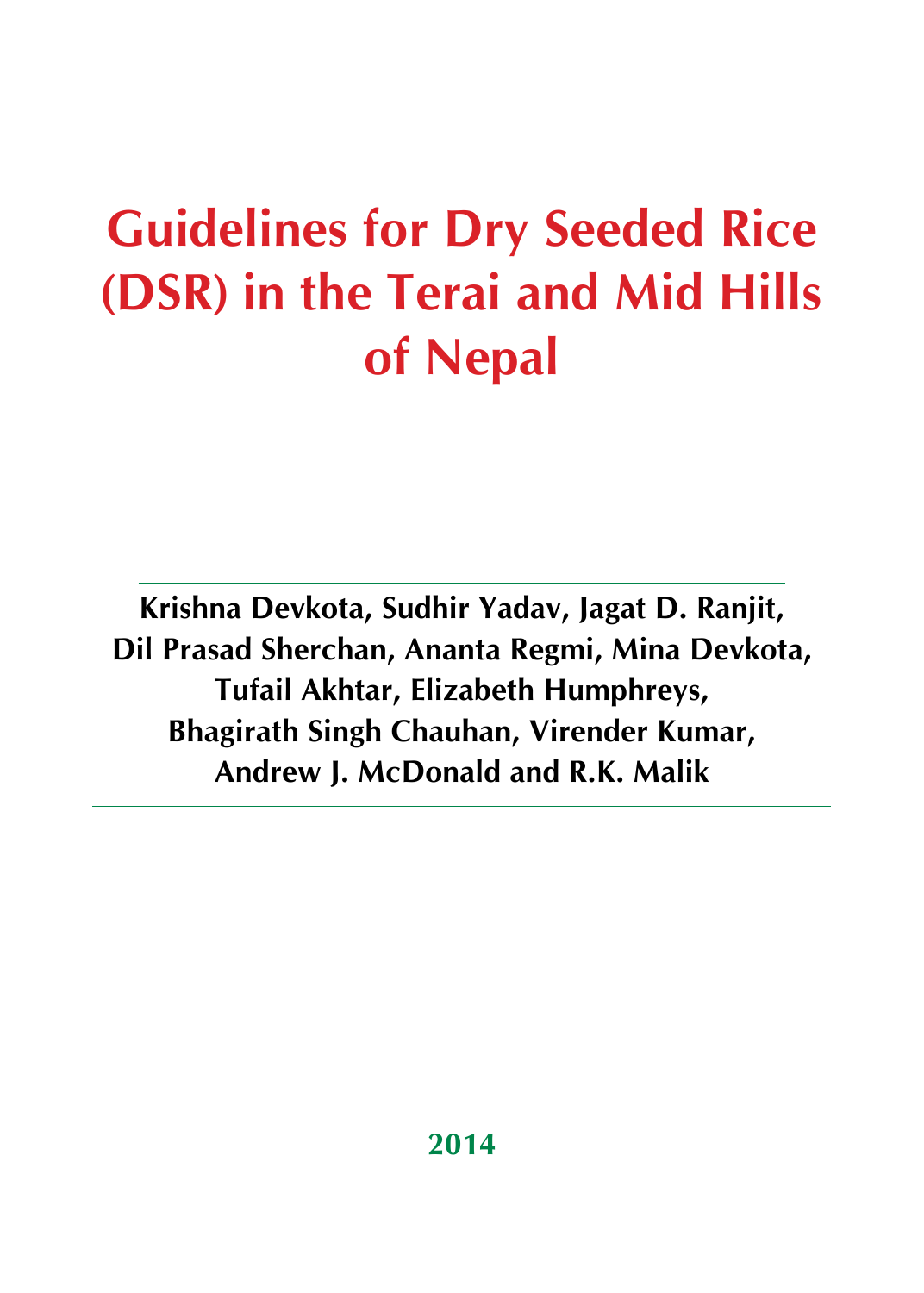**Krishna Devkota, Sudhir Yadav, Jagat D. Ranjit, Dil Prasad Sherchan, Ananta Regmi, Mina Devkota, Tufail Akhtar, Elizabeth Humphreys, Bhagirath Singh Chauhan, Virender Kumar, Andrew J. McDonald and R.K. Malik**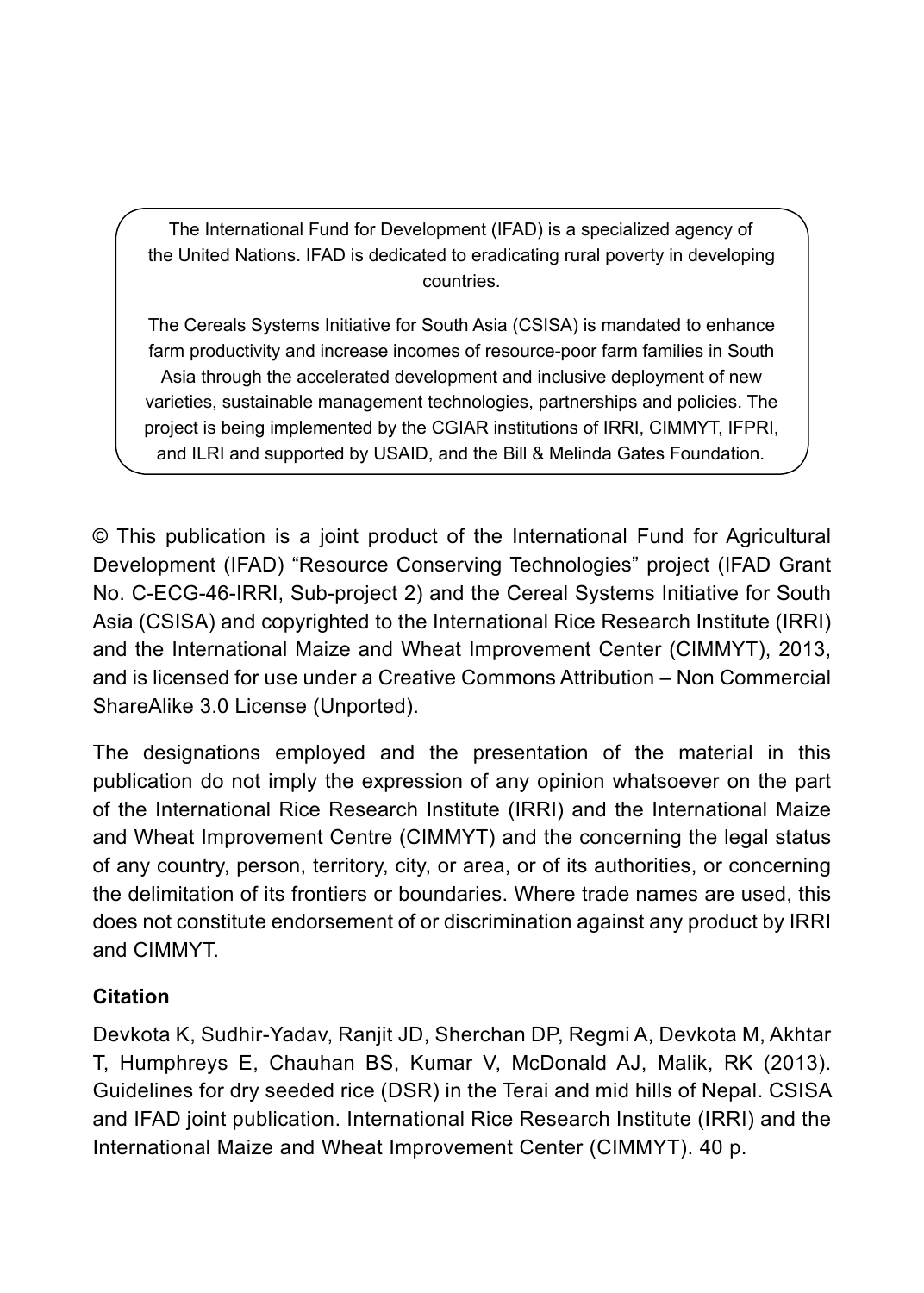The International Fund for Development (IFAD) is a specialized agency of the United Nations. IFAD is dedicated to eradicating rural poverty in developing countries.

The Cereals Systems Initiative for South Asia (CSISA) is mandated to enhance farm productivity and increase incomes of resource-poor farm families in South Asia through the accelerated development and inclusive deployment of new varieties, sustainable management technologies, partnerships and policies. The project is being implemented by the CGIAR institutions of IRRI, CIMMYT, IFPRI, and ILRI and supported by USAID, and the Bill & Melinda Gates Foundation.

© This publication is a joint product of the International Fund for Agricultural Development (IFAD) "Resource Conserving Technologies" project (IFAD Grant No. C-ECG-46-IRRI, Sub-project 2) and the Cereal Systems Initiative for South Asia (CSISA) and copyrighted to the International Rice Research Institute (IRRI) and the International Maize and Wheat Improvement Center (CIMMYT), 2013, and is licensed for use under a Creative Commons Attribution – Non Commercial ShareAlike 3.0 License (Unported).

The designations employed and the presentation of the material in this publication do not imply the expression of any opinion whatsoever on the part of the International Rice Research Institute (IRRI) and the International Maize and Wheat Improvement Centre (CIMMYT) and the concerning the legal status of any country, person, territory, city, or area, or of its authorities, or concerning the delimitation of its frontiers or boundaries. Where trade names are used, this does not constitute endorsement of or discrimination against any product by IRRI and CIMMYT.

#### **Citation**

Devkota K, Sudhir-Yadav, Ranjit JD, Sherchan DP, Regmi A, Devkota M, Akhtar T, Humphreys E, Chauhan BS, Kumar V, McDonald AJ, Malik, RK (2013). Guidelines for dry seeded rice (DSR) in the Terai and mid hills of Nepal. CSISA and IFAD joint publication. International Rice Research Institute (IRRI) and the International Maize and Wheat Improvement Center (CIMMYT). 40 p.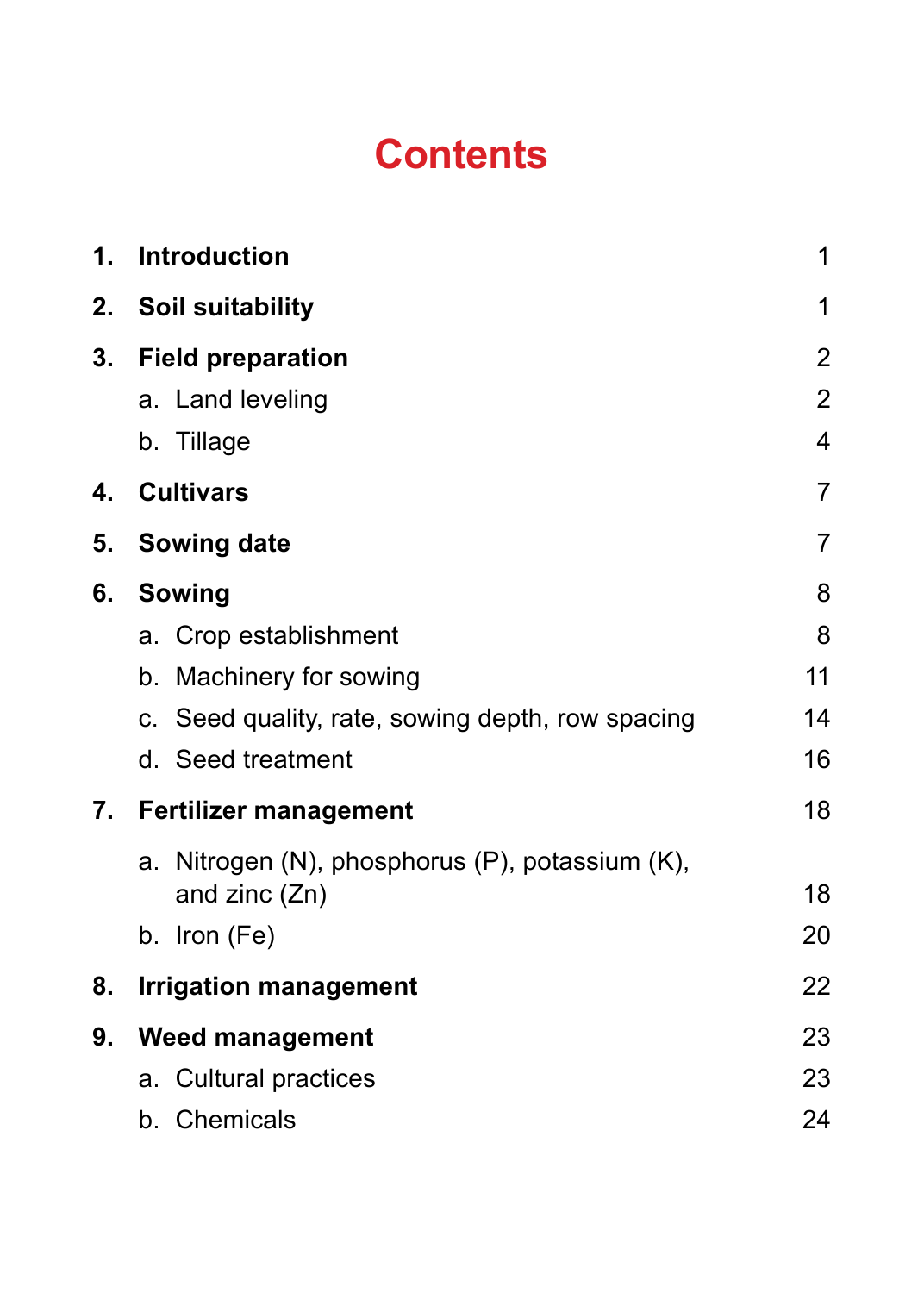# **Contents**

| 1. | Introduction                                                     | 1              |
|----|------------------------------------------------------------------|----------------|
| 2. | Soil suitability                                                 | 1              |
| 3. | <b>Field preparation</b>                                         | $\overline{2}$ |
|    | a. Land leveling                                                 | $\overline{c}$ |
|    | b. Tillage                                                       | 4              |
| 4. | <b>Cultivars</b>                                                 | $\overline{7}$ |
| 5. | Sowing date                                                      | 7              |
| 6. | Sowing                                                           | 8              |
|    | a. Crop establishment                                            | 8              |
|    | b. Machinery for sowing                                          | 11             |
|    | c. Seed quality, rate, sowing depth, row spacing                 | 14             |
|    | d. Seed treatment                                                | 16             |
|    | 7. Fertilizer management                                         | 18             |
|    | a. Nitrogen (N), phosphorus (P), potassium (K),<br>and zinc (Zn) | 18             |
|    | b. Iron (Fe)                                                     | 20             |
| 8. | <b>Irrigation management</b>                                     | 22             |
| 9. | <b>Weed management</b>                                           | 23             |
|    | a. Cultural practices                                            | 23             |
|    | b. Chemicals                                                     | 24             |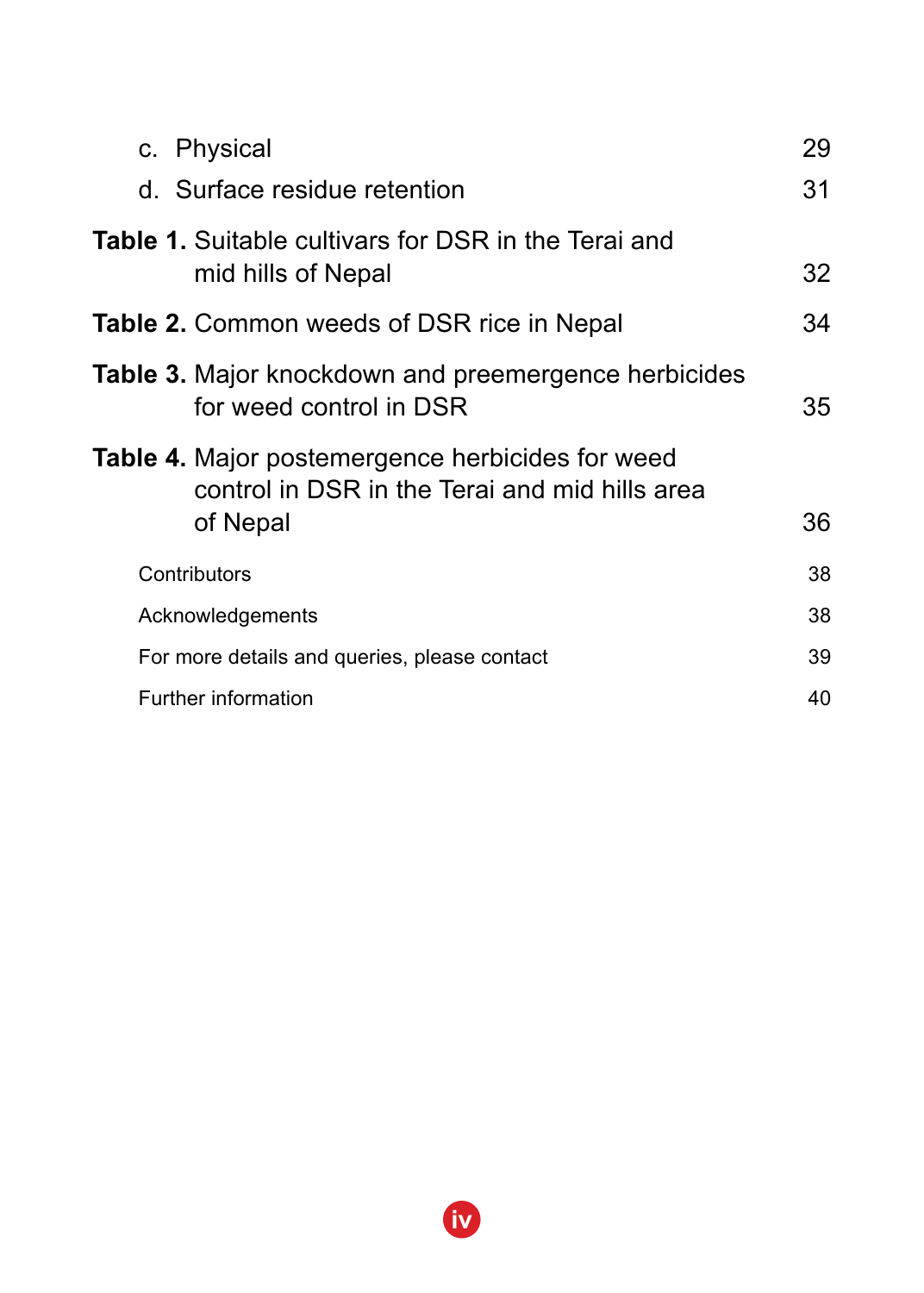| 29 |
|----|
| 31 |
| 32 |
| 34 |
| 35 |
| 36 |
| 38 |
| 38 |
| 39 |
| 40 |
|    |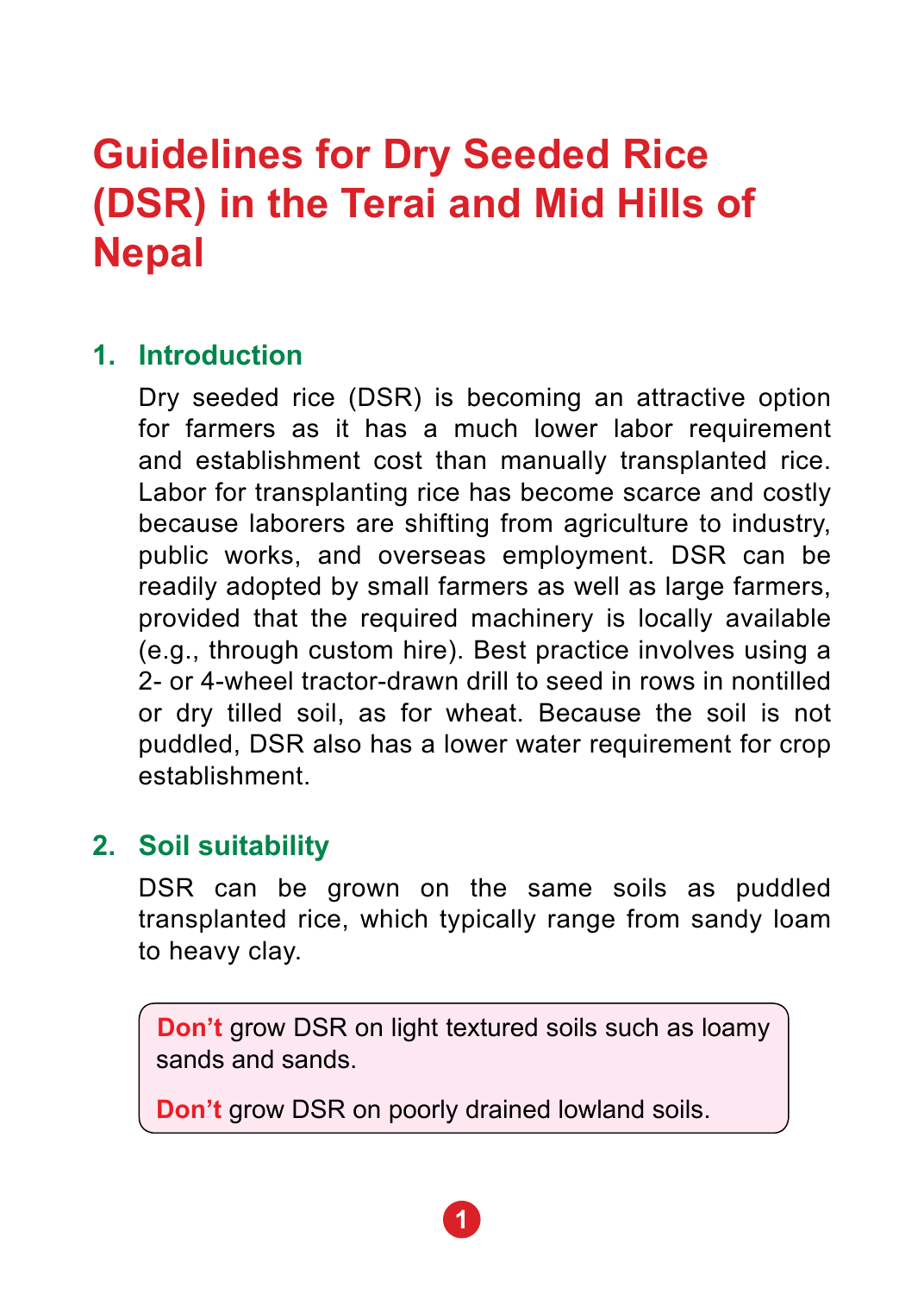# **1. Introduction**

 Dry seeded rice (DSR) is becoming an attractive option for farmers as it has a much lower labor requirement and establishment cost than manually transplanted rice. Labor for transplanting rice has become scarce and costly because laborers are shifting from agriculture to industry, public works, and overseas employment. DSR can be readily adopted by small farmers as well as large farmers, provided that the required machinery is locally available (e.g., through custom hire). Best practice involves using a 2- or 4-wheel tractor-drawn drill to seed in rows in nontilled or dry tilled soil, as for wheat. Because the soil is not puddled, DSR also has a lower water requirement for crop establishment.

# **2. Soil suitability**

 DSR can be grown on the same soils as puddled transplanted rice, which typically range from sandy loam to heavy clay.

**Don't** grow DSR on light textured soils such as loamy sands and sands.

**Don't** grow DSR on poorly drained lowland soils.

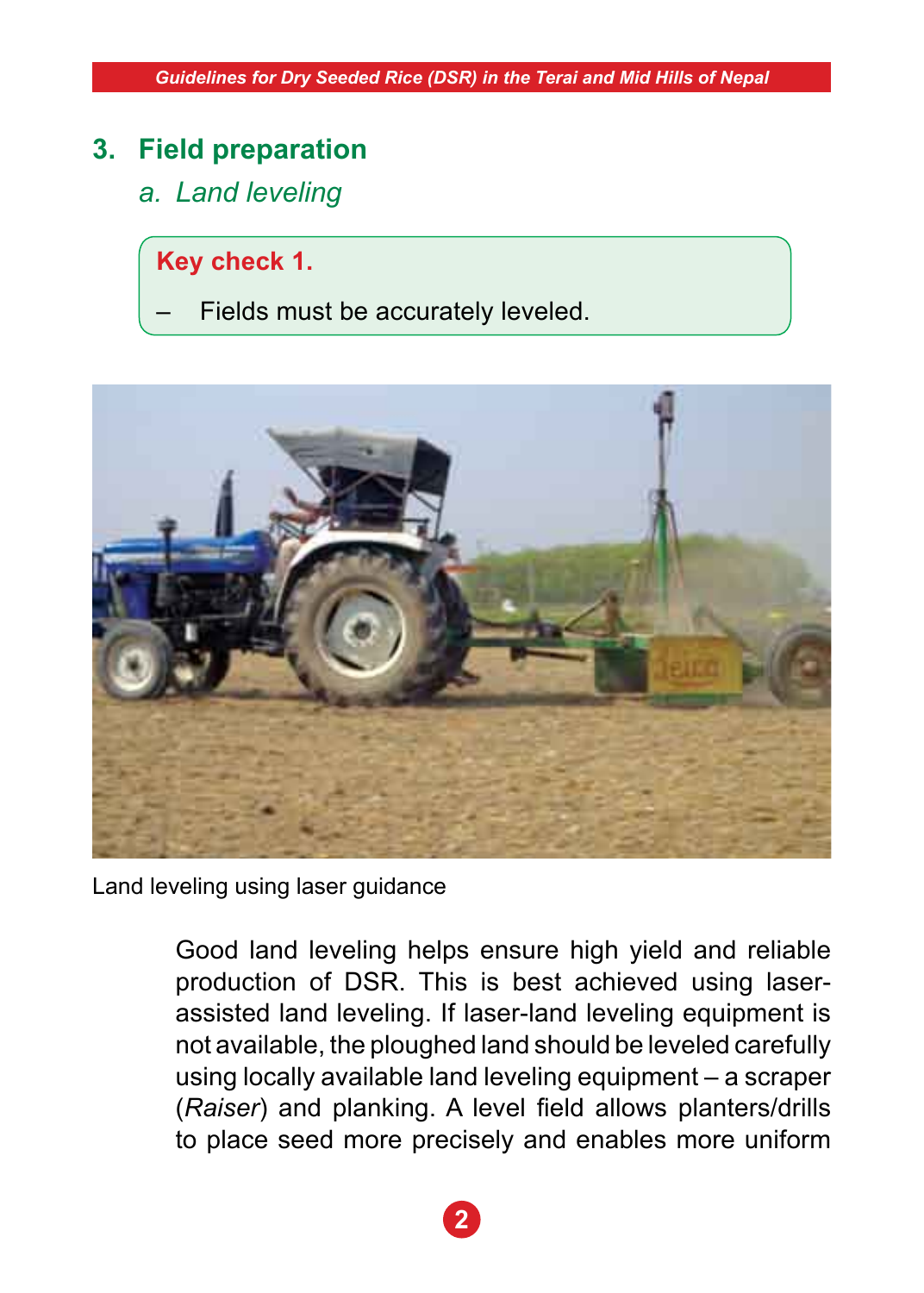# **3. Field preparation**

*a. Land leveling*

**Key check 1.**

Fields must be accurately leveled.



Land leveling using laser guidance

 Good land leveling helps ensure high yield and reliable production of DSR. This is best achieved using laserassisted land leveling. If laser-land leveling equipment is not available, the ploughed land should be leveled carefully using locally available land leveling equipment – a scraper (*Raiser*) and planking. A level field allows planters/drills to place seed more precisely and enables more uniform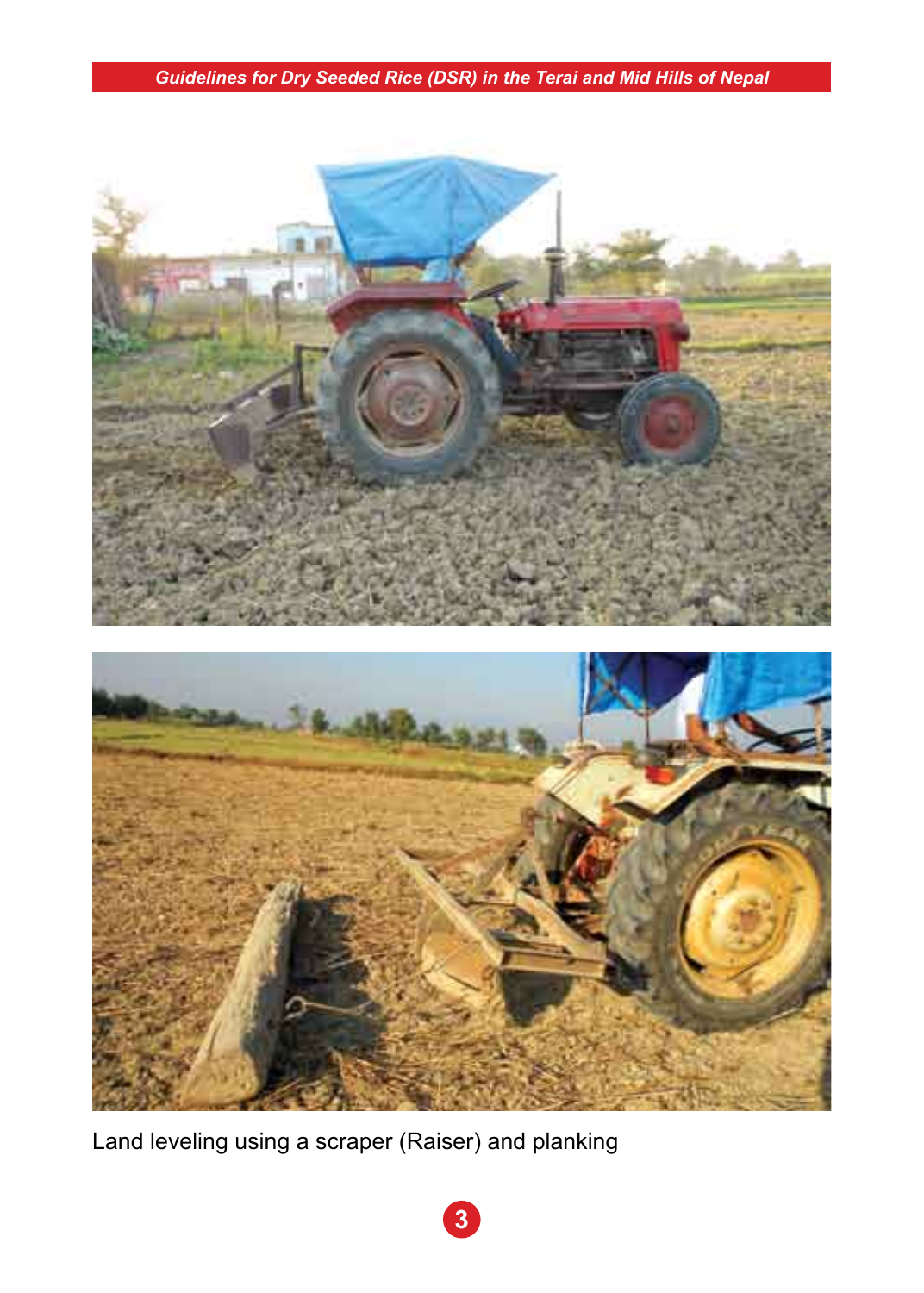

Land leveling using a scraper (Raiser) and planking

**3**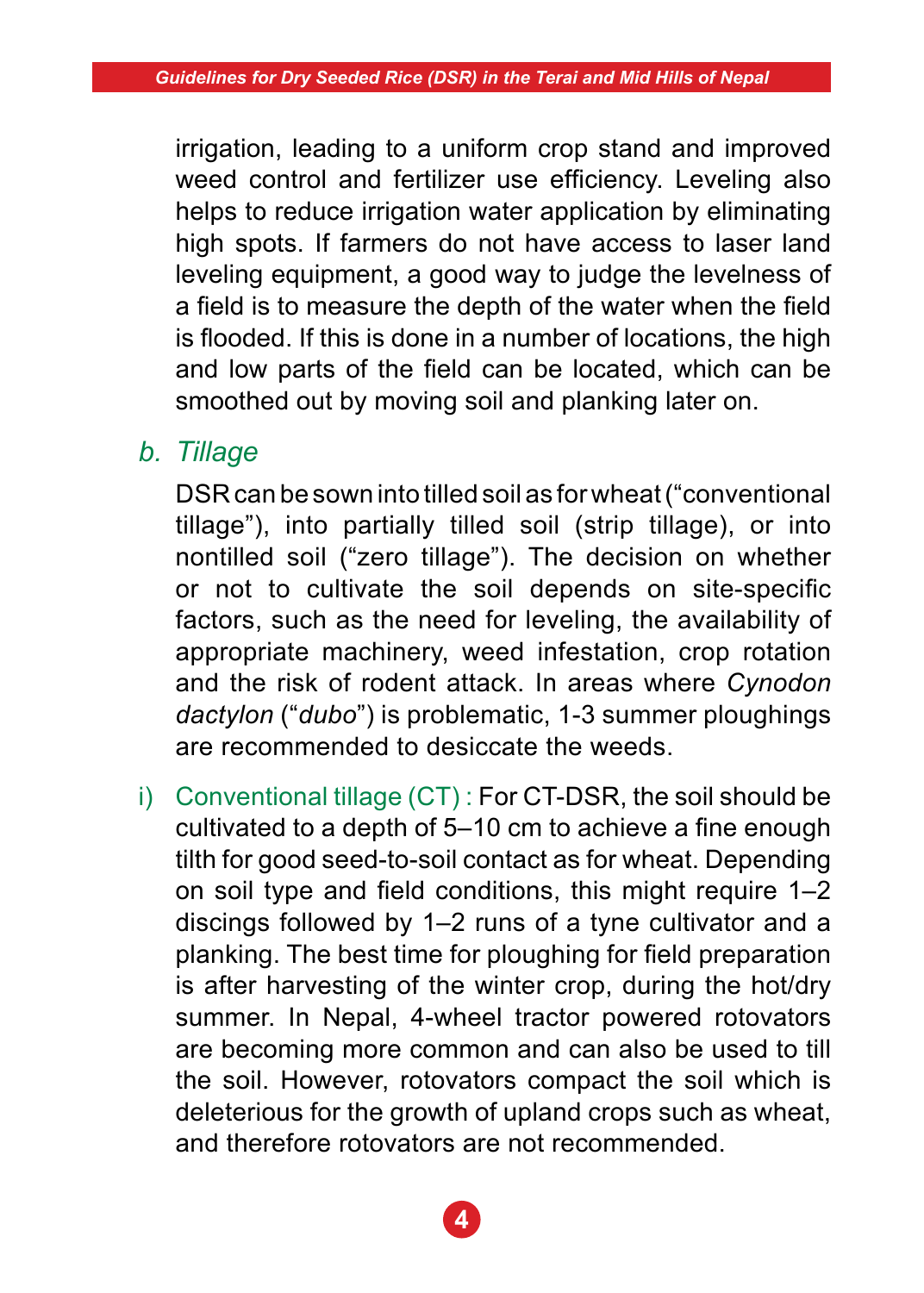irrigation, leading to a uniform crop stand and improved weed control and fertilizer use efficiency. Leveling also helps to reduce irrigation water application by eliminating high spots. If farmers do not have access to laser land leveling equipment, a good way to judge the levelness of a field is to measure the depth of the water when the field is flooded. If this is done in a number of locations, the high and low parts of the field can be located, which can be smoothed out by moving soil and planking later on.

# *b. Tillage*

 DSR can be sown into tilled soil as for wheat ("conventional tillage"), into partially tilled soil (strip tillage), or into nontilled soil ("zero tillage"). The decision on whether or not to cultivate the soil depends on site-specific factors, such as the need for leveling, the availability of appropriate machinery, weed infestation, crop rotation and the risk of rodent attack. In areas where *Cynodon dactylon* ("*dubo*") is problematic, 1-3 summer ploughings are recommended to desiccate the weeds.

i) Conventional tillage (CT) : For CT-DSR, the soil should be cultivated to a depth of 5–10 cm to achieve a fine enough tilth for good seed-to-soil contact as for wheat. Depending on soil type and field conditions, this might require 1–2 discings followed by 1–2 runs of a tyne cultivator and a planking. The best time for ploughing for field preparation is after harvesting of the winter crop, during the hot/dry summer. In Nepal, 4-wheel tractor powered rotovators are becoming more common and can also be used to till the soil. However, rotovators compact the soil which is deleterious for the growth of upland crops such as wheat, and therefore rotovators are not recommended.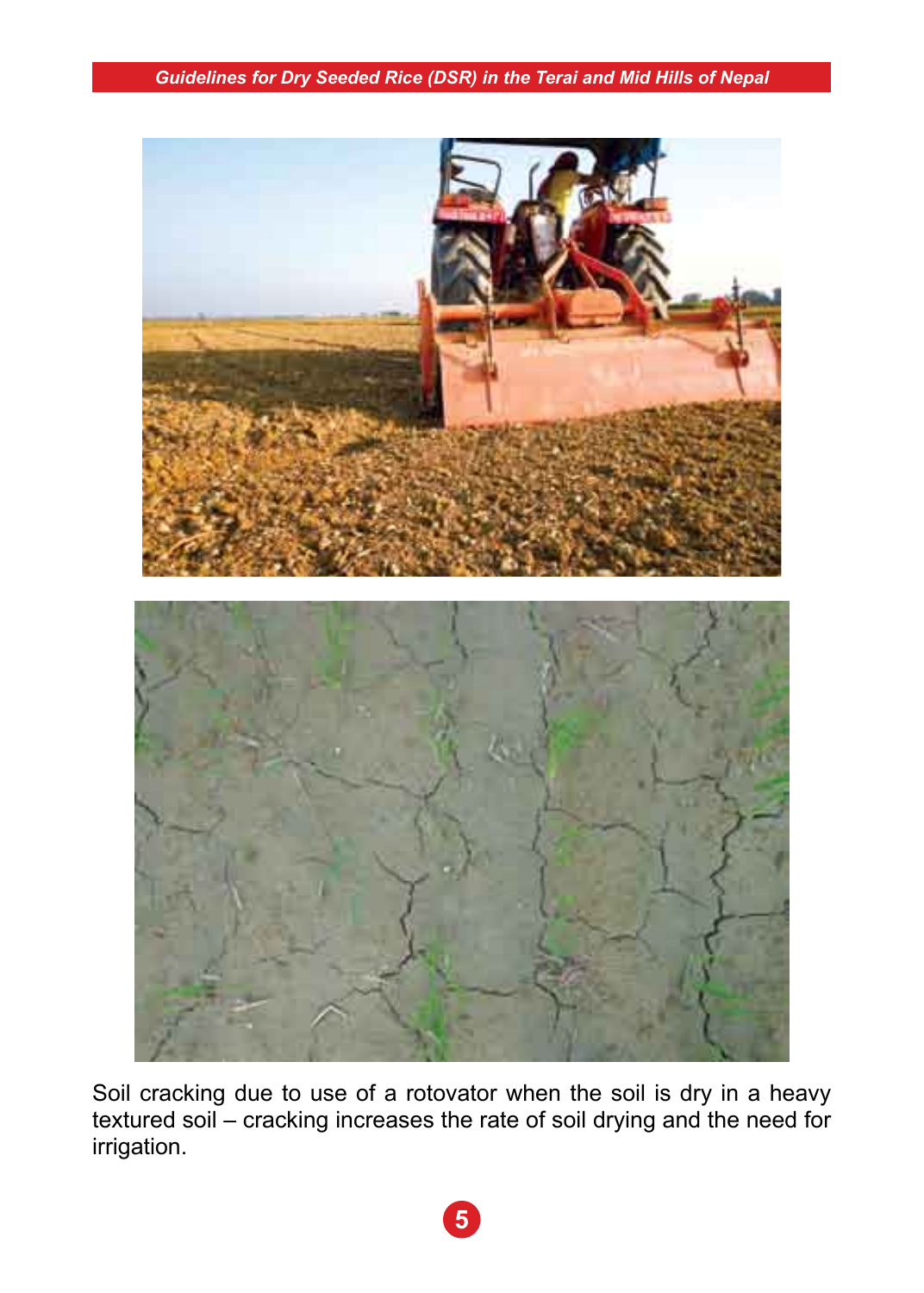

Soil cracking due to use of a rotovator when the soil is dry in a heavy textured soil – cracking increases the rate of soil drying and the need for irrigation.

**5**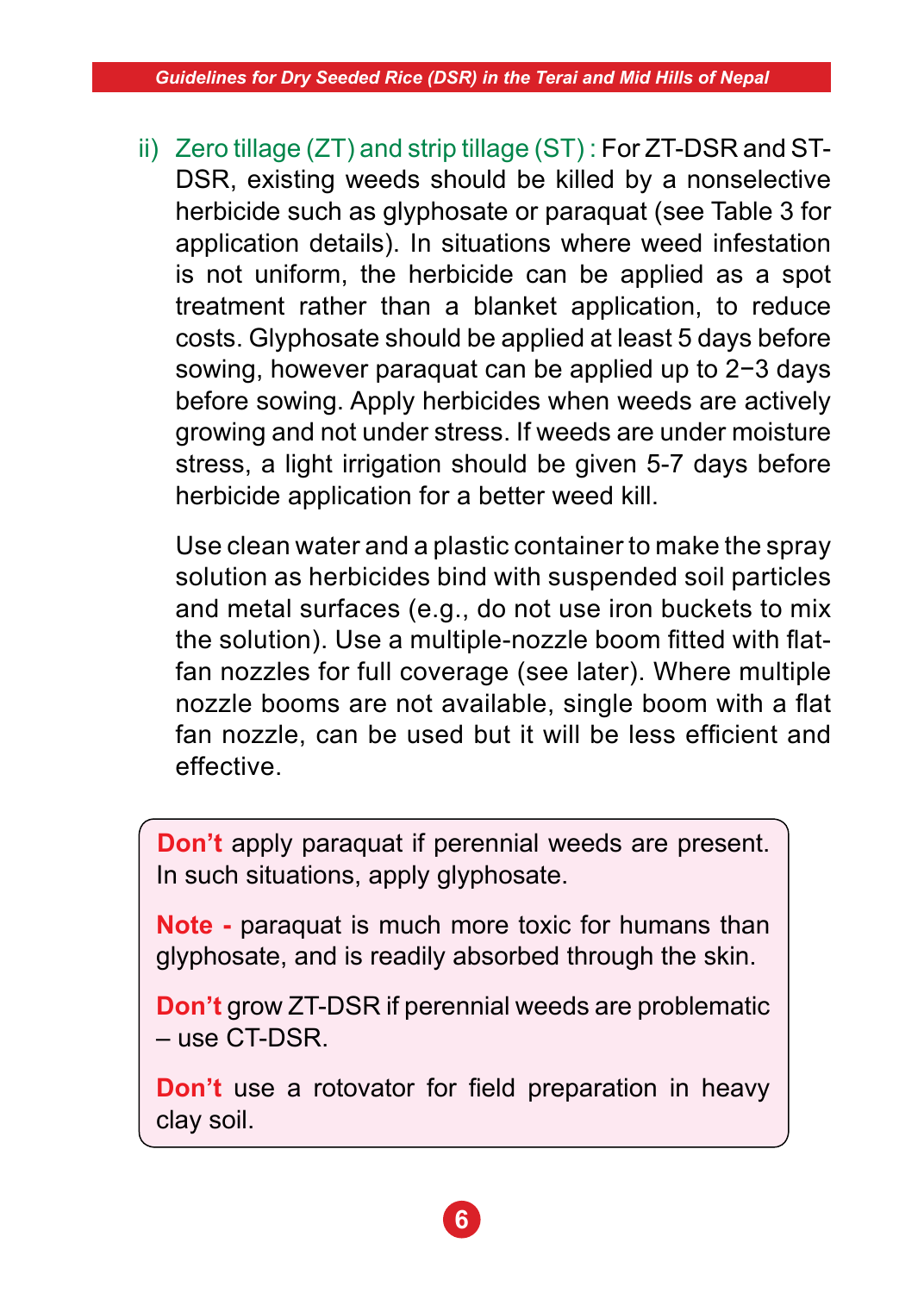ii) Zero tillage (ZT) and strip tillage (ST) : For ZT-DSR and ST-DSR, existing weeds should be killed by a nonselective herbicide such as glyphosate or paraquat (see Table 3 for application details). In situations where weed infestation is not uniform, the herbicide can be applied as a spot treatment rather than a blanket application, to reduce costs. Glyphosate should be applied at least 5 days before sowing, however paraquat can be applied up to 2−3 days before sowing. Apply herbicides when weeds are actively growing and not under stress. If weeds are under moisture stress, a light irrigation should be given 5-7 days before herbicide application for a better weed kill.

 Use clean water and a plastic container to make the spray solution as herbicides bind with suspended soil particles and metal surfaces (e.g., do not use iron buckets to mix the solution). Use a multiple-nozzle boom fitted with flatfan nozzles for full coverage (see later). Where multiple nozzle booms are not available, single boom with a flat fan nozzle, can be used but it will be less efficient and effective.

**Don't** apply paraquat if perennial weeds are present. In such situations, apply glyphosate.

**Note -** paraquat is much more toxic for humans than glyphosate, and is readily absorbed through the skin.

**Don't** grow ZT-DSR if perennial weeds are problematic – use CT-DSR.

**Don't** use a rotovator for field preparation in heavy clay soil.

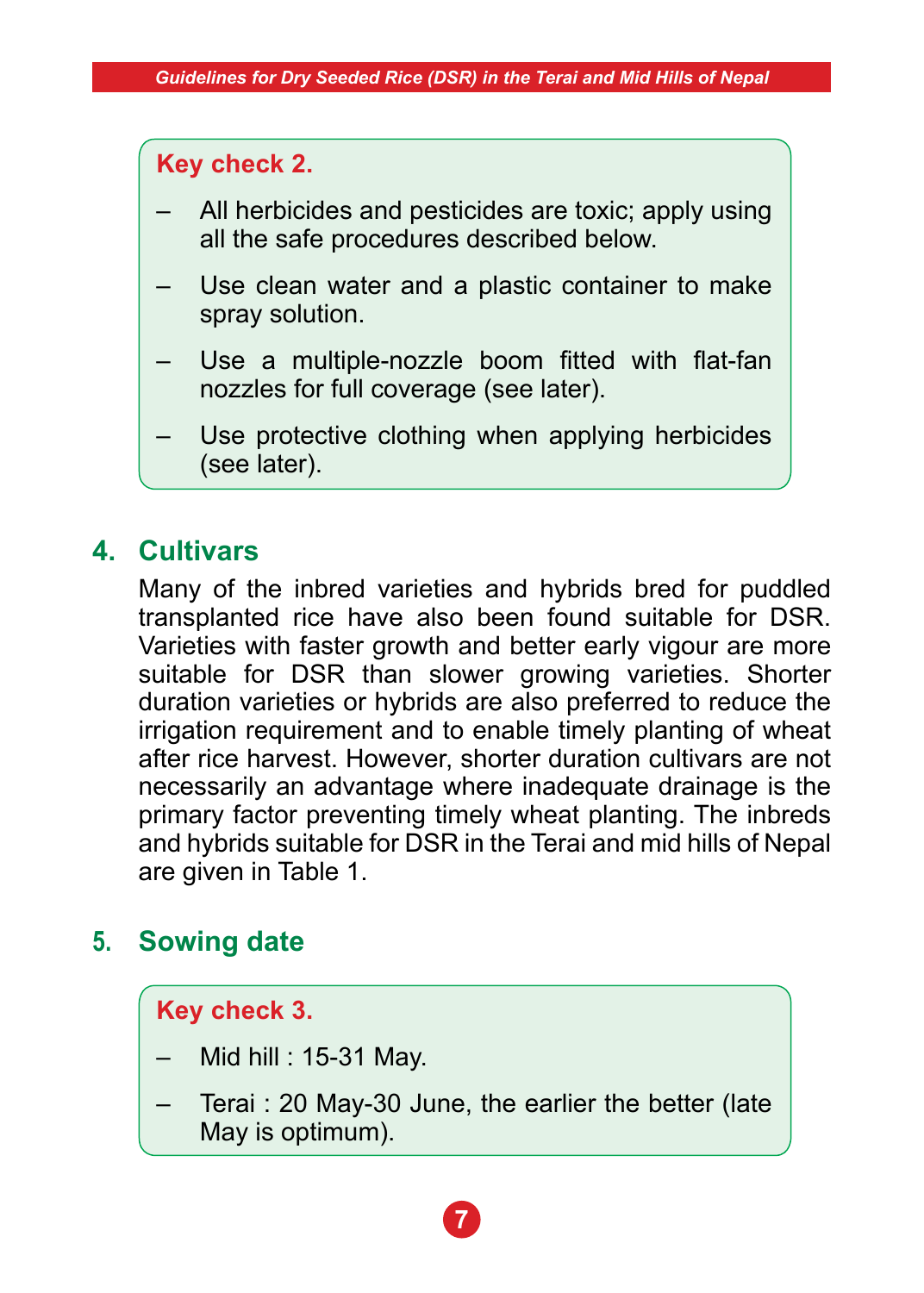### **Key check 2.**

- All herbicides and pesticides are toxic; apply using all the safe procedures described below.
- Use clean water and a plastic container to make spray solution.
- Use a multiple-nozzle boom fitted with flat-fan nozzles for full coverage (see later).
- Use protective clothing when applying herbicides (see later).

### **4. Cultivars**

 Many of the inbred varieties and hybrids bred for puddled transplanted rice have also been found suitable for DSR. Varieties with faster growth and better early vigour are more suitable for DSR than slower growing varieties. Shorter duration varieties or hybrids are also preferred to reduce the irrigation requirement and to enable timely planting of wheat after rice harvest. However, shorter duration cultivars are not necessarily an advantage where inadequate drainage is the primary factor preventing timely wheat planting. The inbreds and hybrids suitable for DSR in the Terai and mid hills of Nepal are given in Table 1.

# **5. Sowing date**

### **Key check 3.**

- Mid hill : 15-31 May.
- Terai : 20 May-30 June, the earlier the better (late May is optimum).

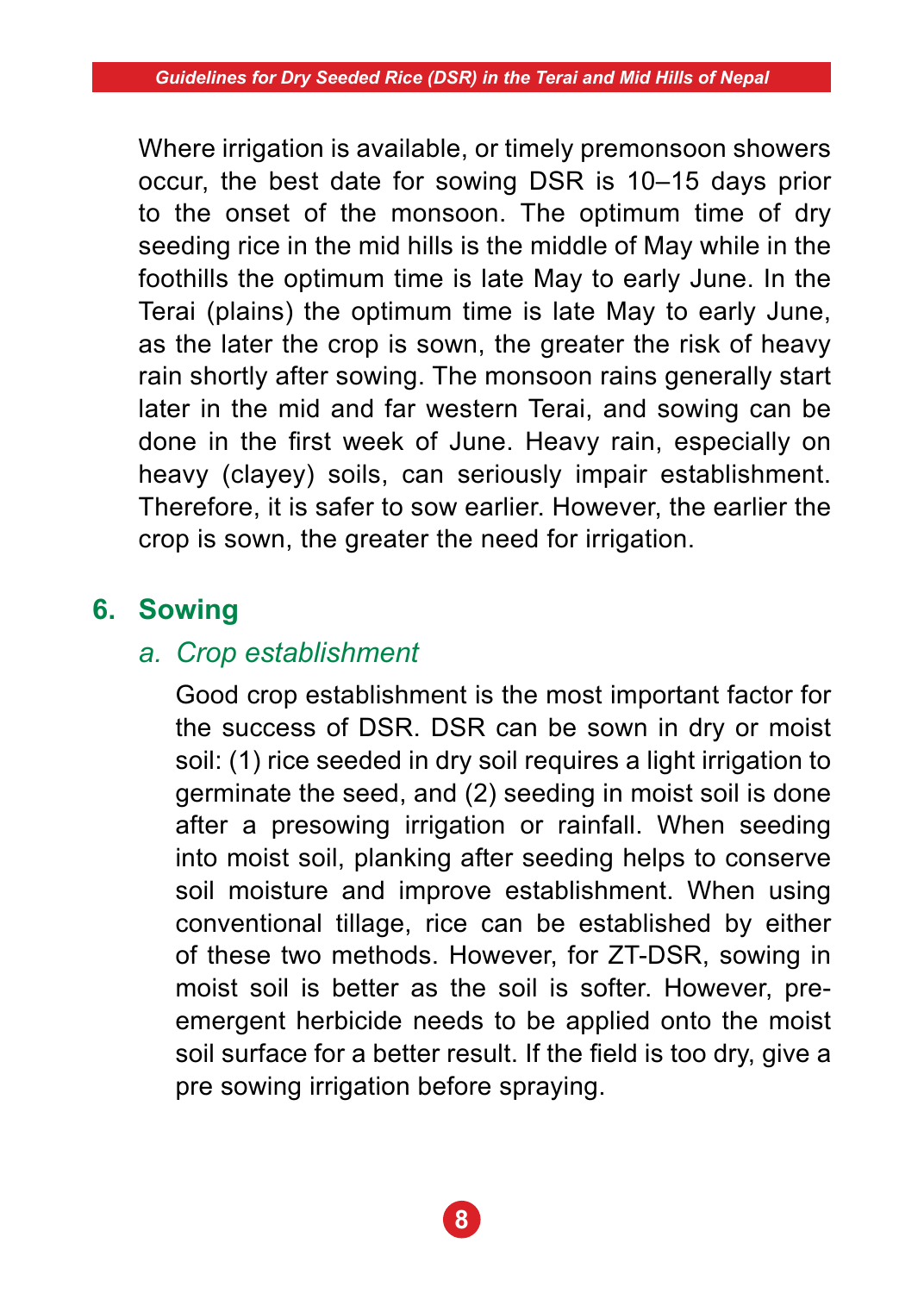Where irrigation is available, or timely premonsoon showers occur, the best date for sowing DSR is 10–15 days prior to the onset of the monsoon. The optimum time of dry seeding rice in the mid hills is the middle of May while in the foothills the optimum time is late May to early June. In the Terai (plains) the optimum time is late May to early June, as the later the crop is sown, the greater the risk of heavy rain shortly after sowing. The monsoon rains generally start later in the mid and far western Terai, and sowing can be done in the first week of June. Heavy rain, especially on heavy (clayey) soils, can seriously impair establishment. Therefore, it is safer to sow earlier. However, the earlier the crop is sown, the greater the need for irrigation.

# **6. Sowing**

# *a. Crop establishment*

 Good crop establishment is the most important factor for the success of DSR. DSR can be sown in dry or moist soil: (1) rice seeded in dry soil requires a light irrigation to germinate the seed, and (2) seeding in moist soil is done after a presowing irrigation or rainfall. When seeding into moist soil, planking after seeding helps to conserve soil moisture and improve establishment. When using conventional tillage, rice can be established by either of these two methods. However, for ZT-DSR, sowing in moist soil is better as the soil is softer. However, preemergent herbicide needs to be applied onto the moist soil surface for a better result. If the field is too dry, give a pre sowing irrigation before spraying.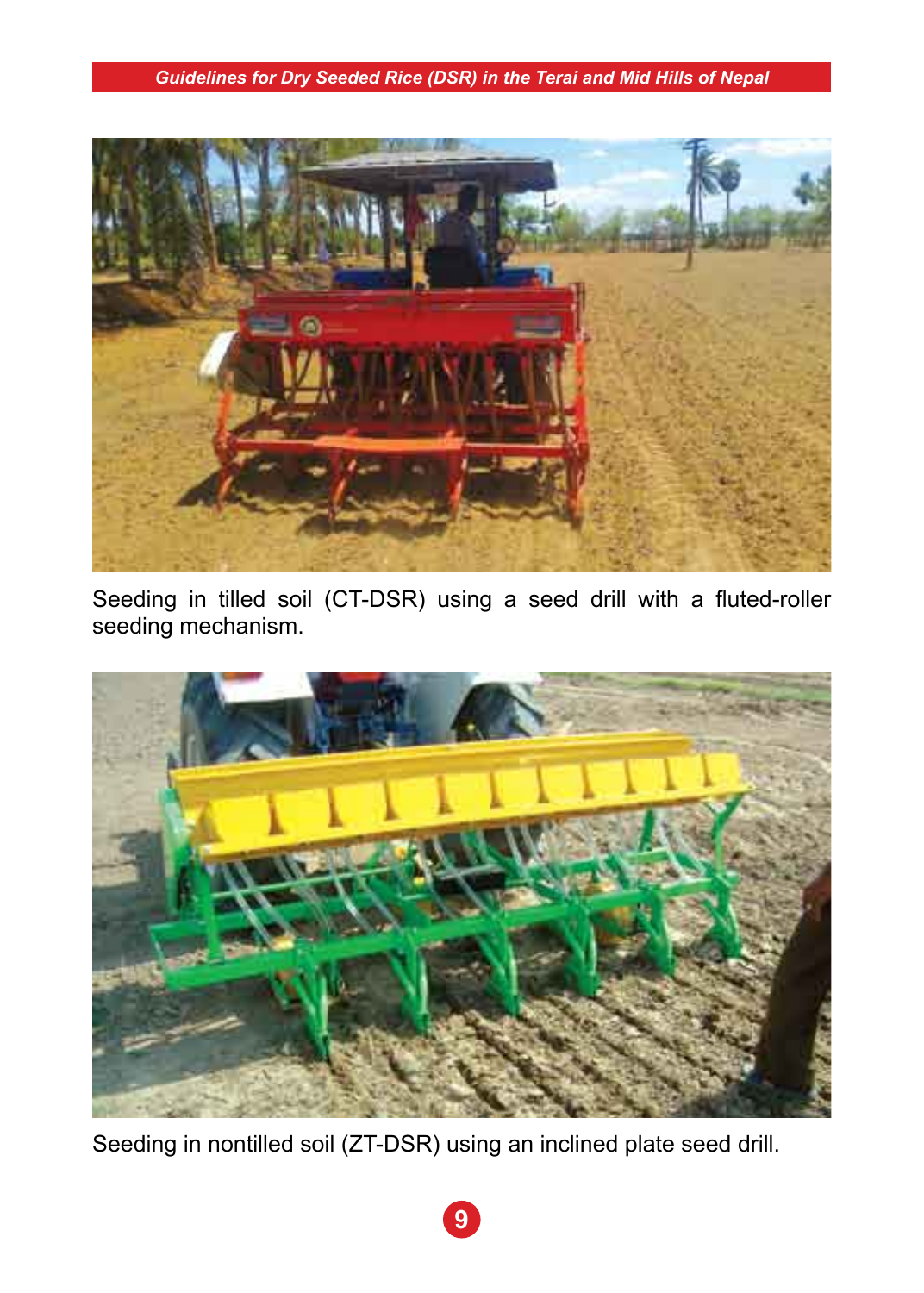

Seeding in tilled soil (CT-DSR) using a seed drill with a fluted-roller seeding mechanism.



Seeding in nontilled soil (ZT-DSR) using an inclined plate seed drill.

**9**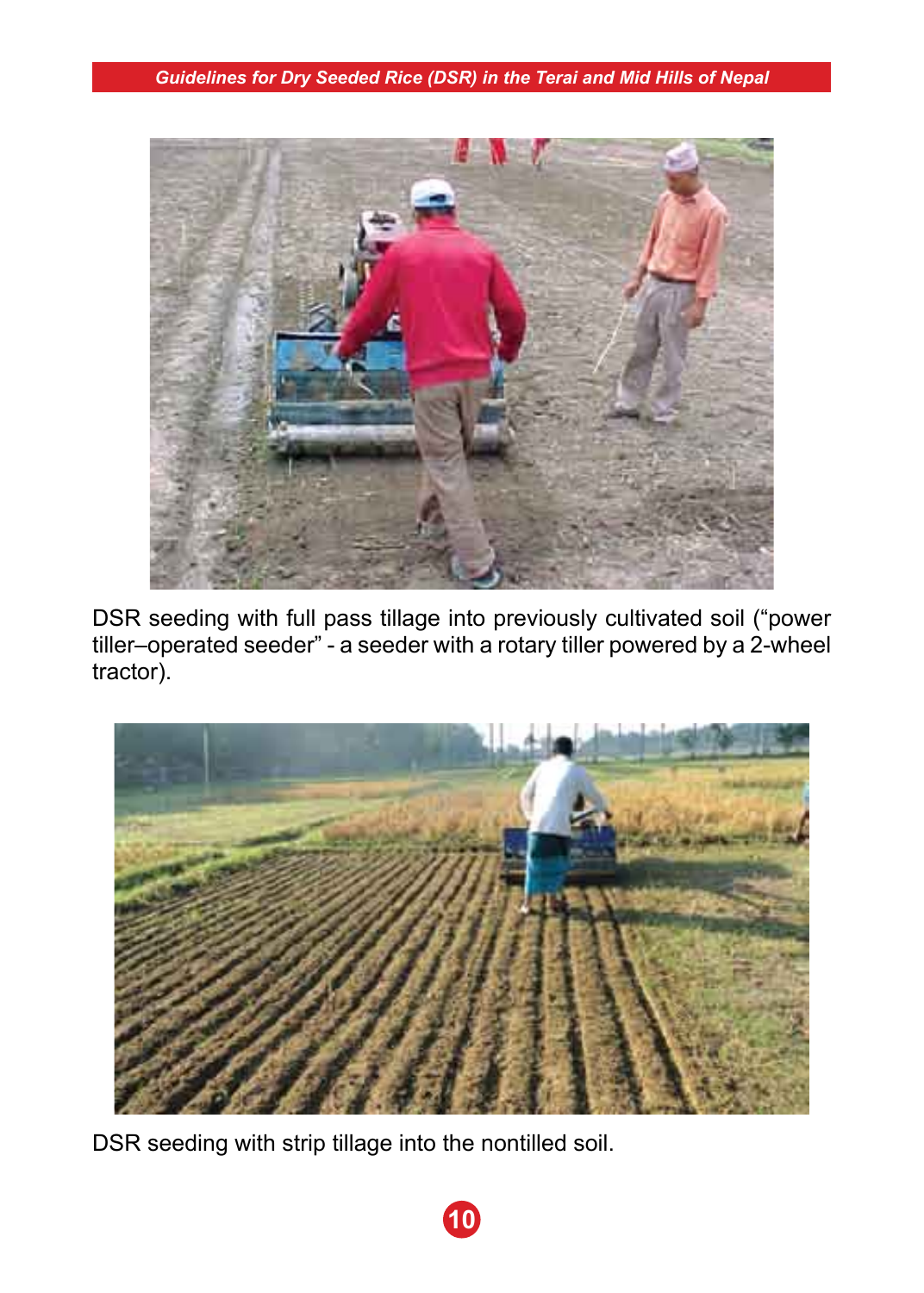

DSR seeding with full pass tillage into previously cultivated soil ("power tiller–operated seeder" - a seeder with a rotary tiller powered by a 2-wheel tractor).



DSR seeding with strip tillage into the nontilled soil.

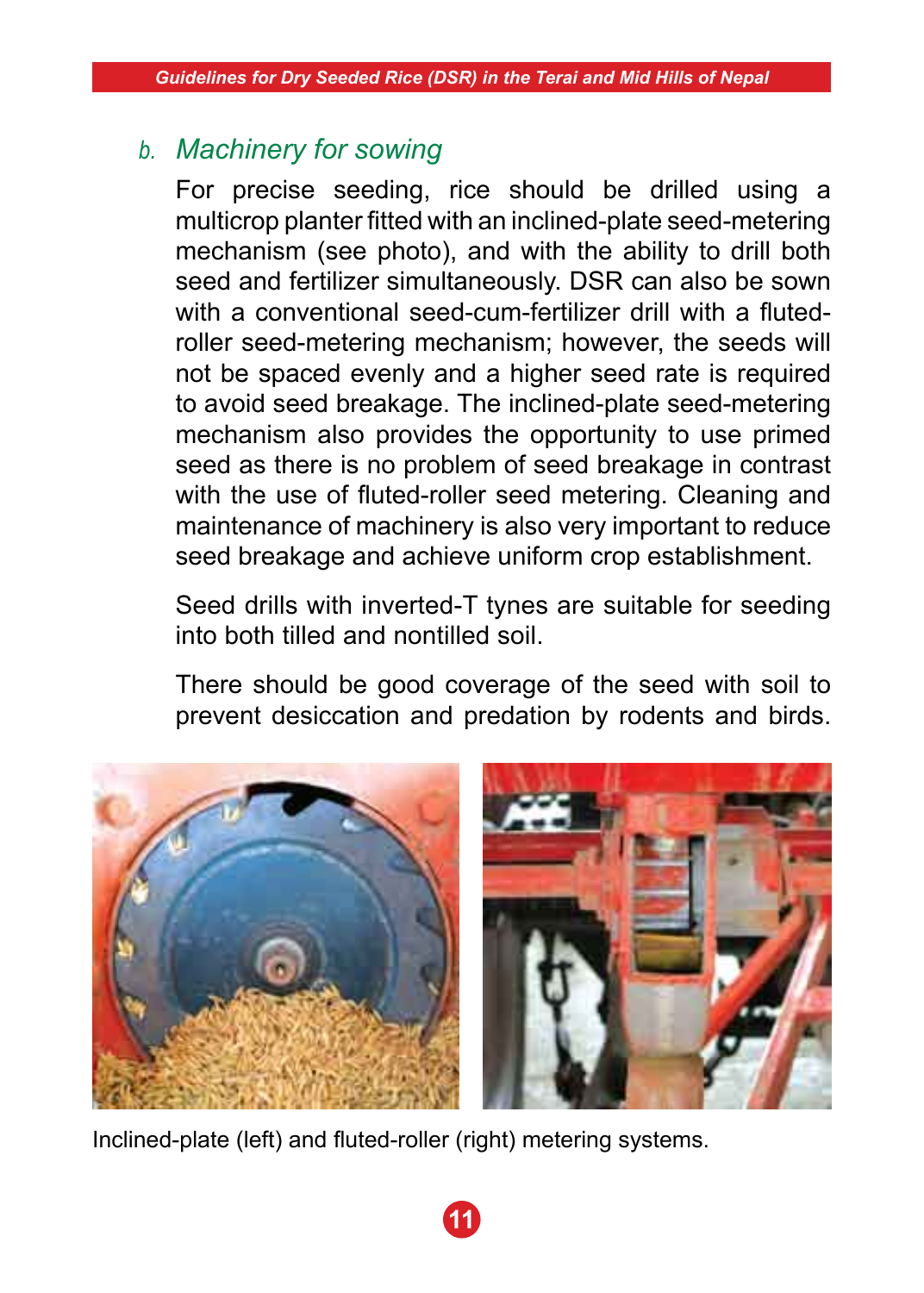# *b. Machinery for sowing*

 For precise seeding, rice should be drilled using a multicrop planter fitted with an inclined-plate seed-metering mechanism (see photo), and with the ability to drill both seed and fertilizer simultaneously. DSR can also be sown with a conventional seed-cum-fertilizer drill with a flutedroller seed-metering mechanism; however, the seeds will not be spaced evenly and a higher seed rate is required to avoid seed breakage. The inclined-plate seed-metering mechanism also provides the opportunity to use primed seed as there is no problem of seed breakage in contrast with the use of fluted-roller seed metering. Cleaning and maintenance of machinery is also very important to reduce seed breakage and achieve uniform crop establishment.

 Seed drills with inverted-T tynes are suitable for seeding into both tilled and nontilled soil.

 There should be good coverage of the seed with soil to prevent desiccation and predation by rodents and birds.



Inclined-plate (left) and fluted-roller (right) metering systems.

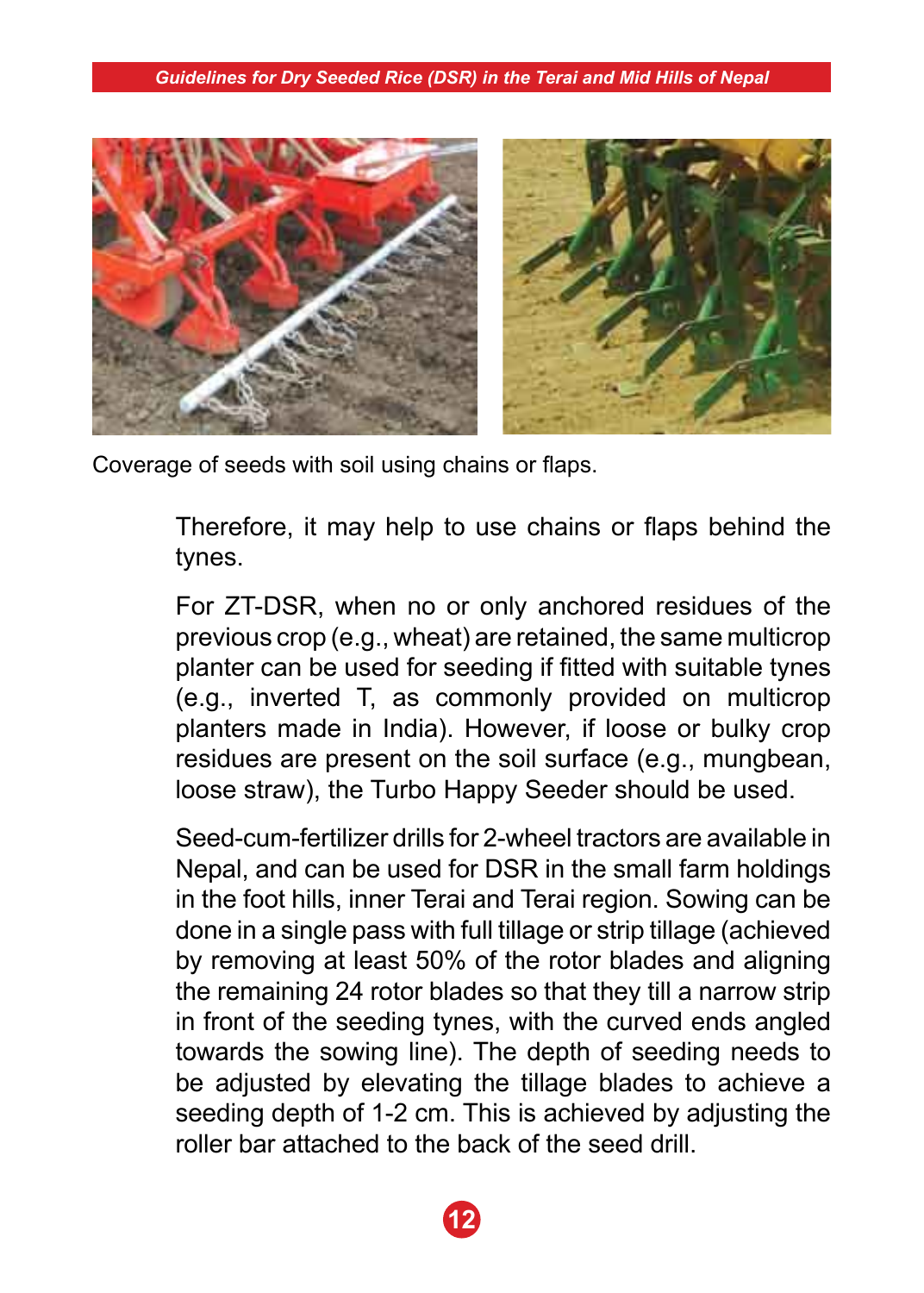

Coverage of seeds with soil using chains or flaps.

Therefore, it may help to use chains or flaps behind the tynes.

 For ZT-DSR, when no or only anchored residues of the previous crop (e.g., wheat) are retained, the same multicrop planter can be used for seeding if fitted with suitable tynes (e.g., inverted T, as commonly provided on multicrop planters made in India). However, if loose or bulky crop residues are present on the soil surface (e.g., mungbean, loose straw), the Turbo Happy Seeder should be used.

 Seed-cum-fertilizer drills for 2-wheel tractors are available in Nepal, and can be used for DSR in the small farm holdings in the foot hills, inner Terai and Terai region. Sowing can be done in a single pass with full tillage or strip tillage (achieved by removing at least 50% of the rotor blades and aligning the remaining 24 rotor blades so that they till a narrow strip in front of the seeding tynes, with the curved ends angled towards the sowing line). The depth of seeding needs to be adjusted by elevating the tillage blades to achieve a seeding depth of 1-2 cm. This is achieved by adjusting the roller bar attached to the back of the seed drill.

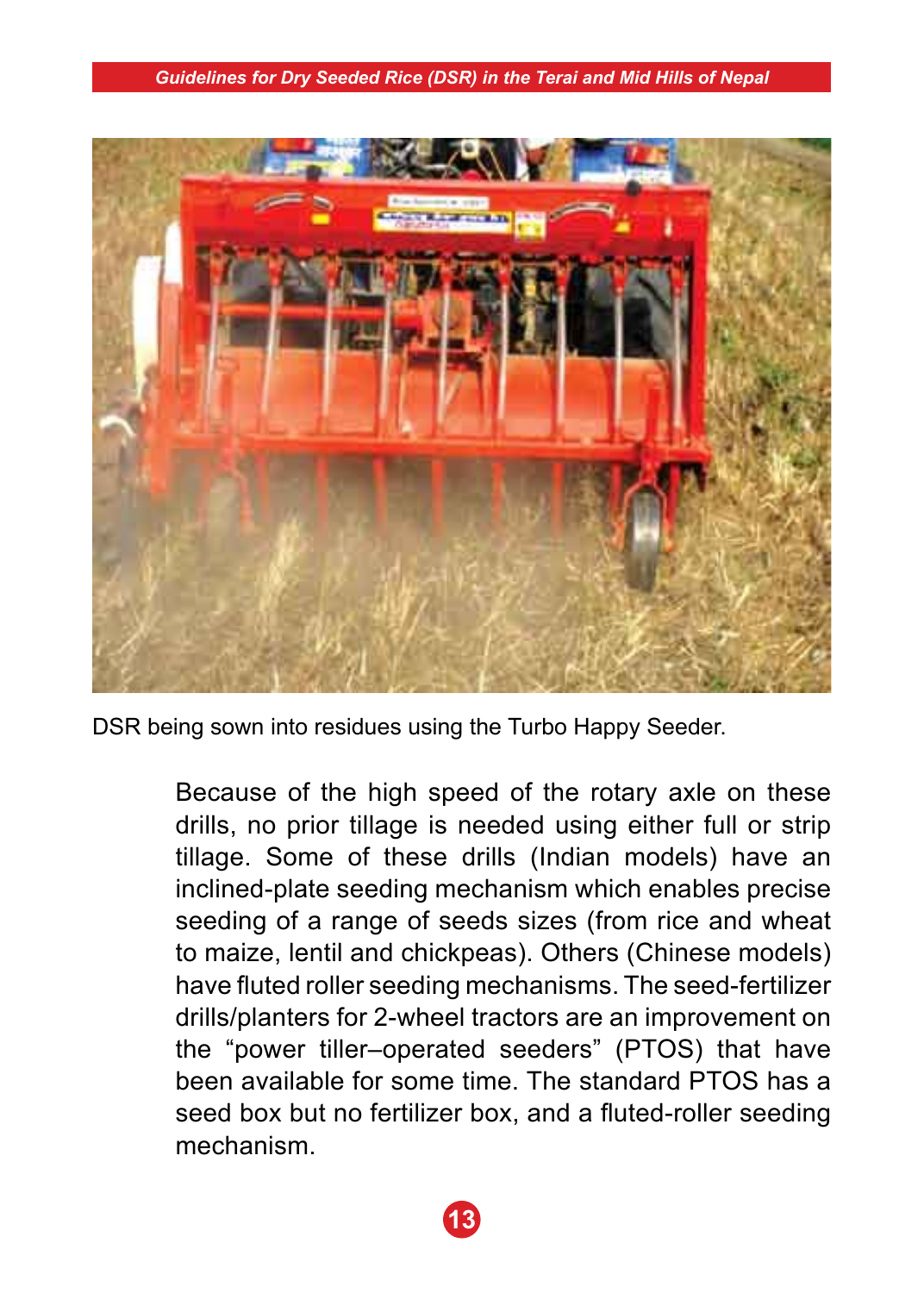

DSR being sown into residues using the Turbo Happy Seeder.

 Because of the high speed of the rotary axle on these drills, no prior tillage is needed using either full or strip tillage. Some of these drills (Indian models) have an inclined-plate seeding mechanism which enables precise seeding of a range of seeds sizes (from rice and wheat to maize, lentil and chickpeas). Others (Chinese models) have fluted roller seeding mechanisms. The seed-fertilizer drills/planters for 2-wheel tractors are an improvement on the "power tiller–operated seeders" (PTOS) that have been available for some time. The standard PTOS has a seed box but no fertilizer box, and a fluted-roller seeding mechanism.

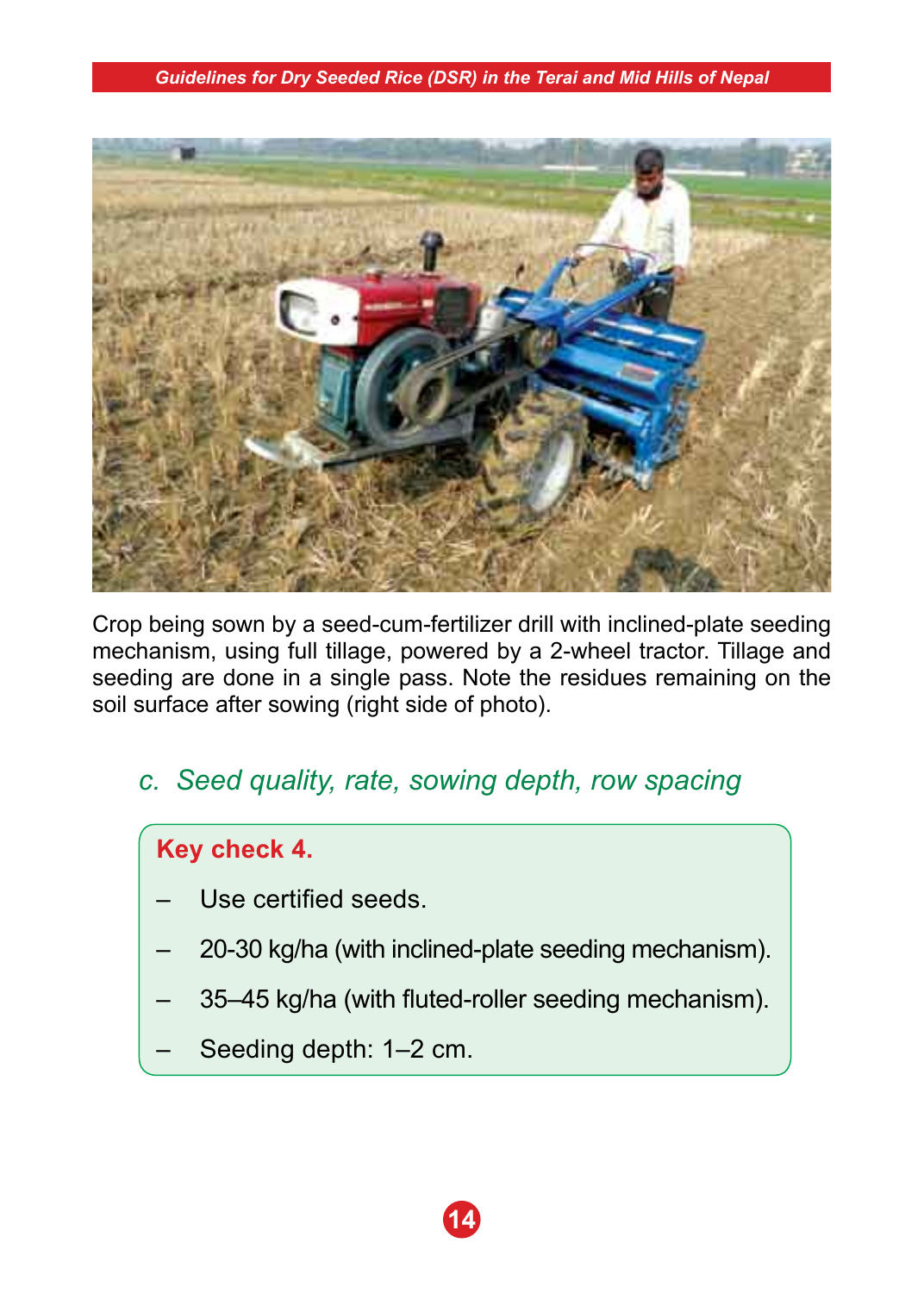

Crop being sown by a seed-cum-fertilizer drill with inclined-plate seeding mechanism, using full tillage, powered by a 2-wheel tractor. Tillage and seeding are done in a single pass. Note the residues remaining on the soil surface after sowing (right side of photo).

*c. Seed quality, rate, sowing depth, row spacing*

# **Key check 4.**

- Use certified seeds.
- 20-30 kg/ha (with inclined-plate seeding mechanism).
- 35–45 kg/ha (with fluted-roller seeding mechanism).
- Seeding depth: 1–2 cm.

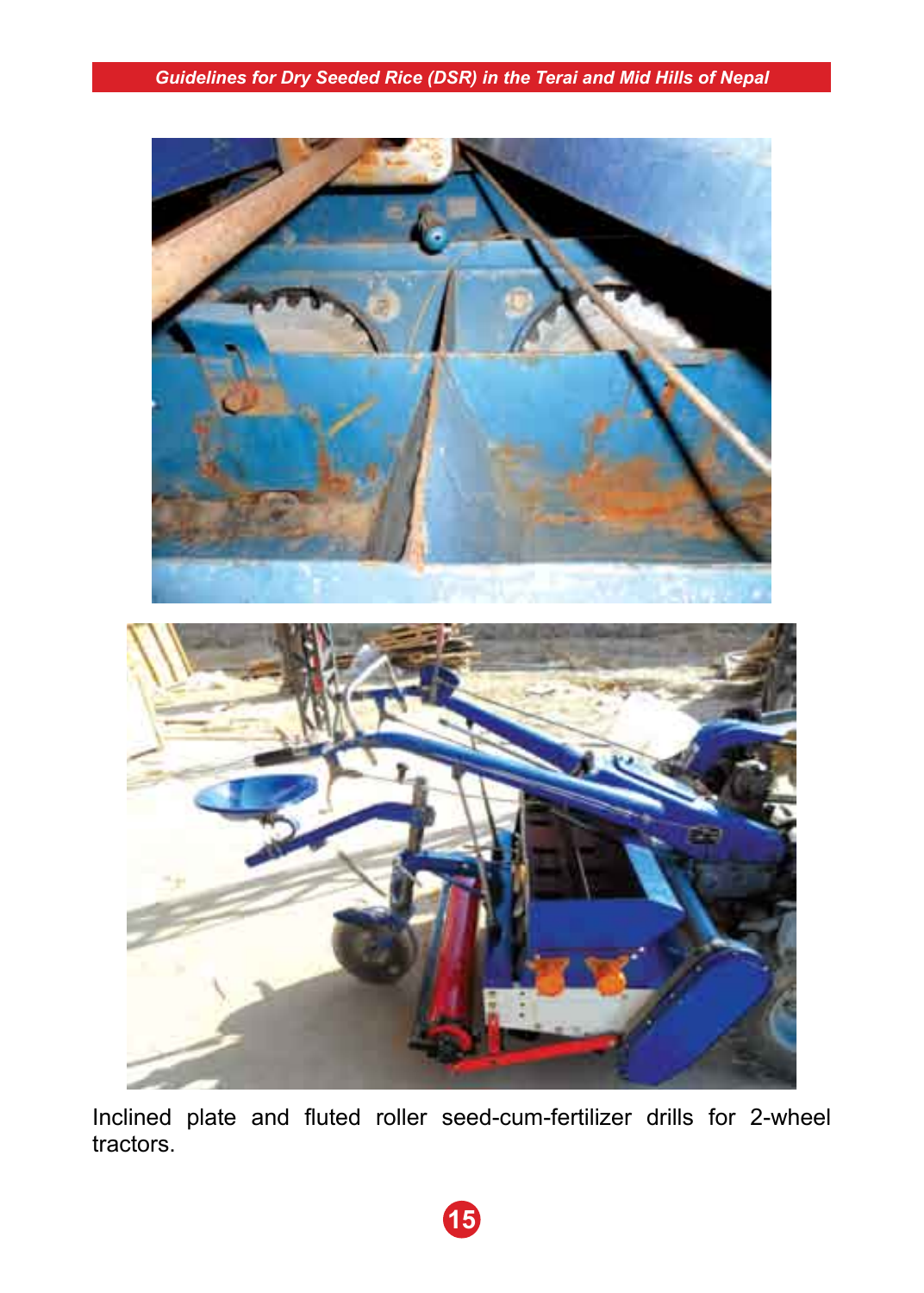

Inclined plate and fluted roller seed-cum-fertilizer drills for 2-wheel tractors.

**15**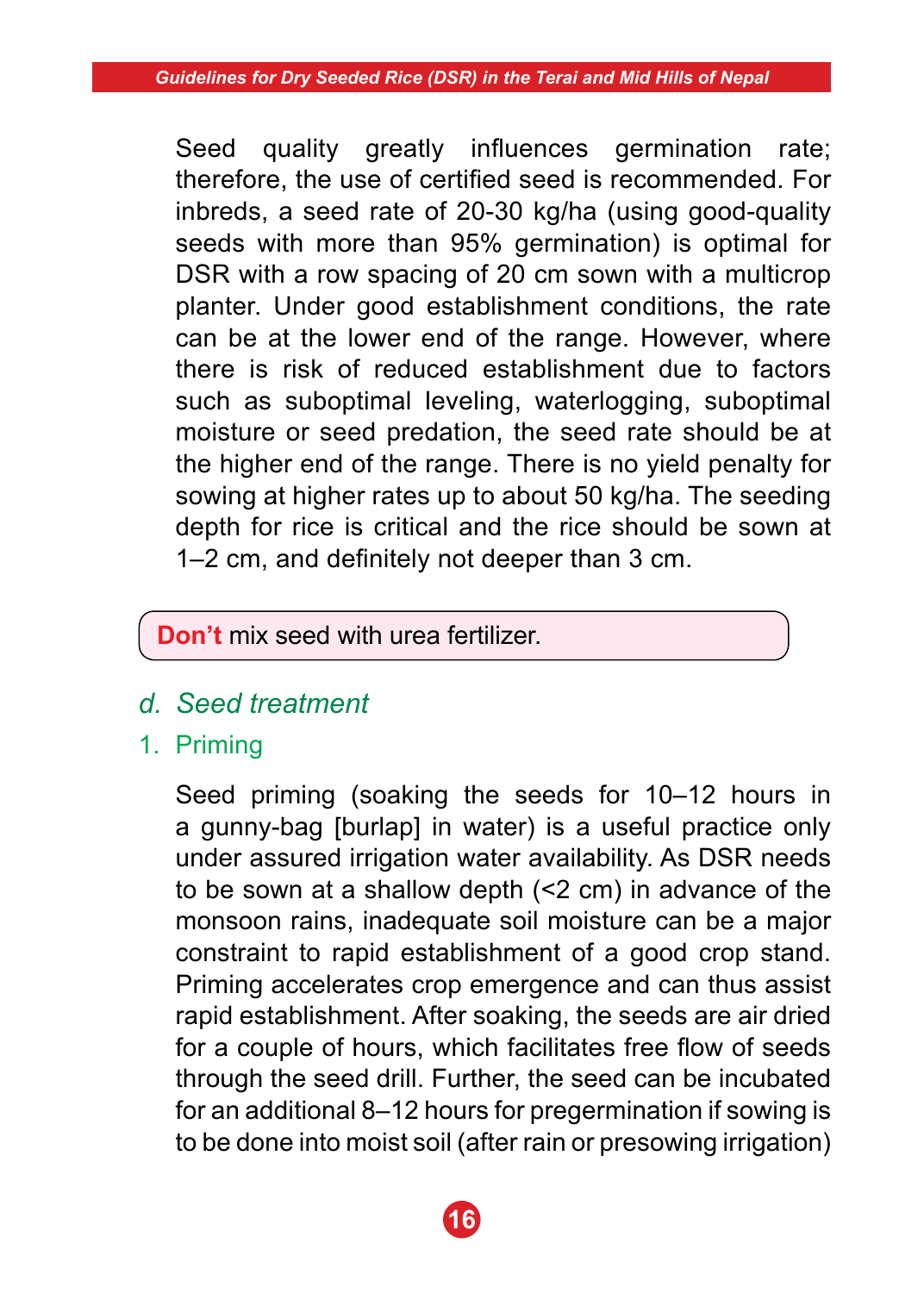Seed quality greatly influences germination rate; therefore, the use of certified seed is recommended. For inbreds, a seed rate of 20-30 kg/ha (using good-quality seeds with more than 95% germination) is optimal for DSR with a row spacing of 20 cm sown with a multicrop planter. Under good establishment conditions, the rate can be at the lower end of the range. However, where there is risk of reduced establishment due to factors such as suboptimal leveling, waterlogging, suboptimal moisture or seed predation, the seed rate should be at the higher end of the range. There is no yield penalty for sowing at higher rates up to about 50 kg/ha. The seeding depth for rice is critical and the rice should be sown at 1–2 cm, and definitely not deeper than 3 cm.

### **Don't** mix seed with urea fertilizer.

- *d. Seed treatment*
- 1. Priming

 Seed priming (soaking the seeds for 10–12 hours in a gunny-bag [burlap] in water) is a useful practice only under assured irrigation water availability. As DSR needs to be sown at a shallow depth (<2 cm) in advance of the monsoon rains, inadequate soil moisture can be a major constraint to rapid establishment of a good crop stand. Priming accelerates crop emergence and can thus assist rapid establishment. After soaking, the seeds are air dried for a couple of hours, which facilitates free flow of seeds through the seed drill. Further, the seed can be incubated for an additional 8–12 hours for pregermination if sowing is to be done into moist soil (after rain or presowing irrigation)

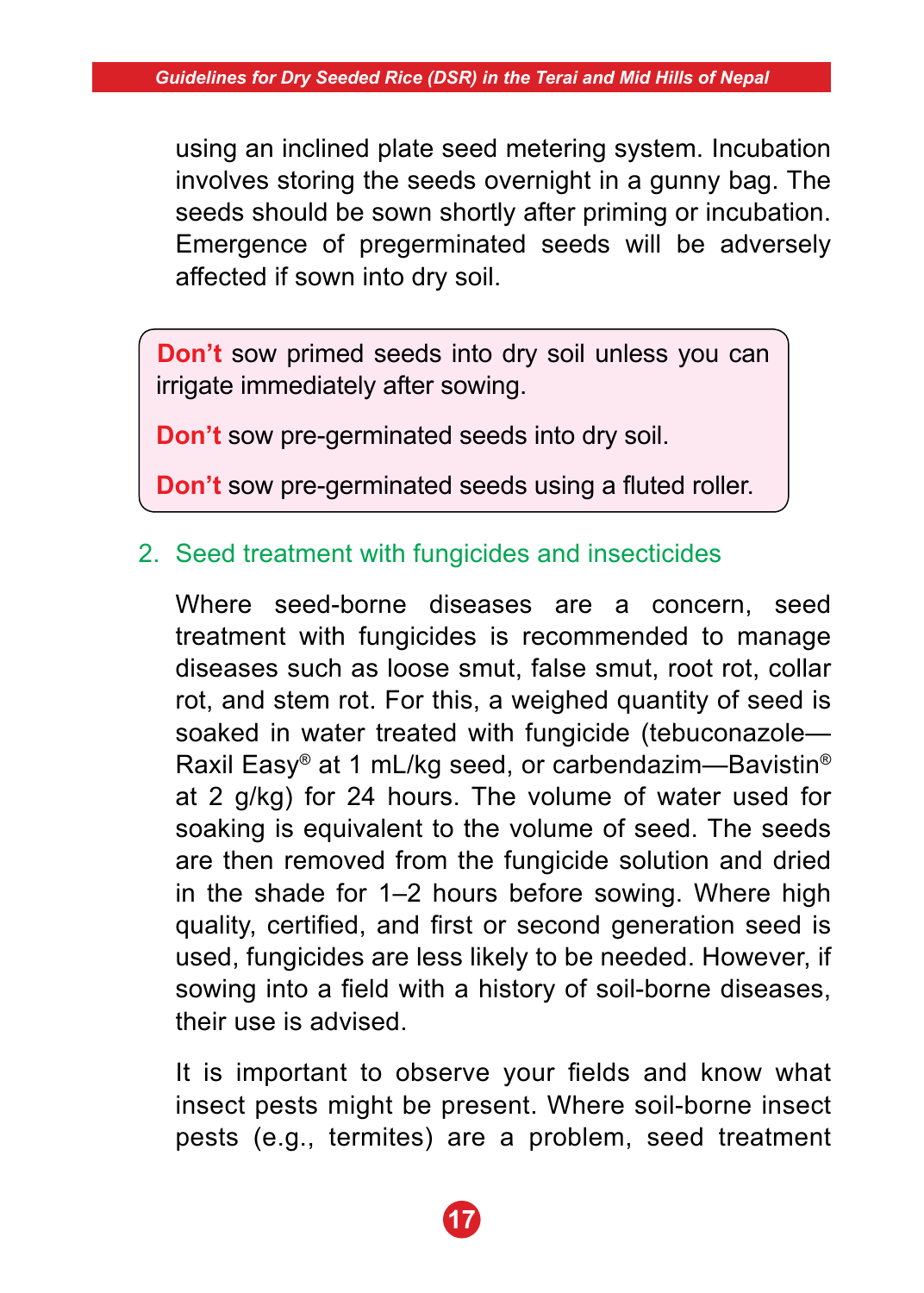using an inclined plate seed metering system. Incubation involves storing the seeds overnight in a gunny bag. The seeds should be sown shortly after priming or incubation. Emergence of pregerminated seeds will be adversely affected if sown into dry soil.

**Don't** sow primed seeds into dry soil unless you can irrigate immediately after sowing.

**Don't** sow pre-germinated seeds into dry soil.

**Don't** sow pre-germinated seeds using a fluted roller.

# 2. Seed treatment with fungicides and insecticides

 Where seed-borne diseases are a concern, seed treatment with fungicides is recommended to manage diseases such as loose smut, false smut, root rot, collar rot, and stem rot. For this, a weighed quantity of seed is soaked in water treated with fungicide (tebuconazole— Raxil Easy® at 1 mL/kg seed, or carbendazim—Bavistin® at 2 g/kg) for 24 hours. The volume of water used for soaking is equivalent to the volume of seed. The seeds are then removed from the fungicide solution and dried in the shade for 1–2 hours before sowing. Where high quality, certified, and first or second generation seed is used, fungicides are less likely to be needed. However, if sowing into a field with a history of soil-borne diseases, their use is advised.

It is important to observe your fields and know what insect pests might be present. Where soil-borne insect pests (e.g., termites) are a problem, seed treatment

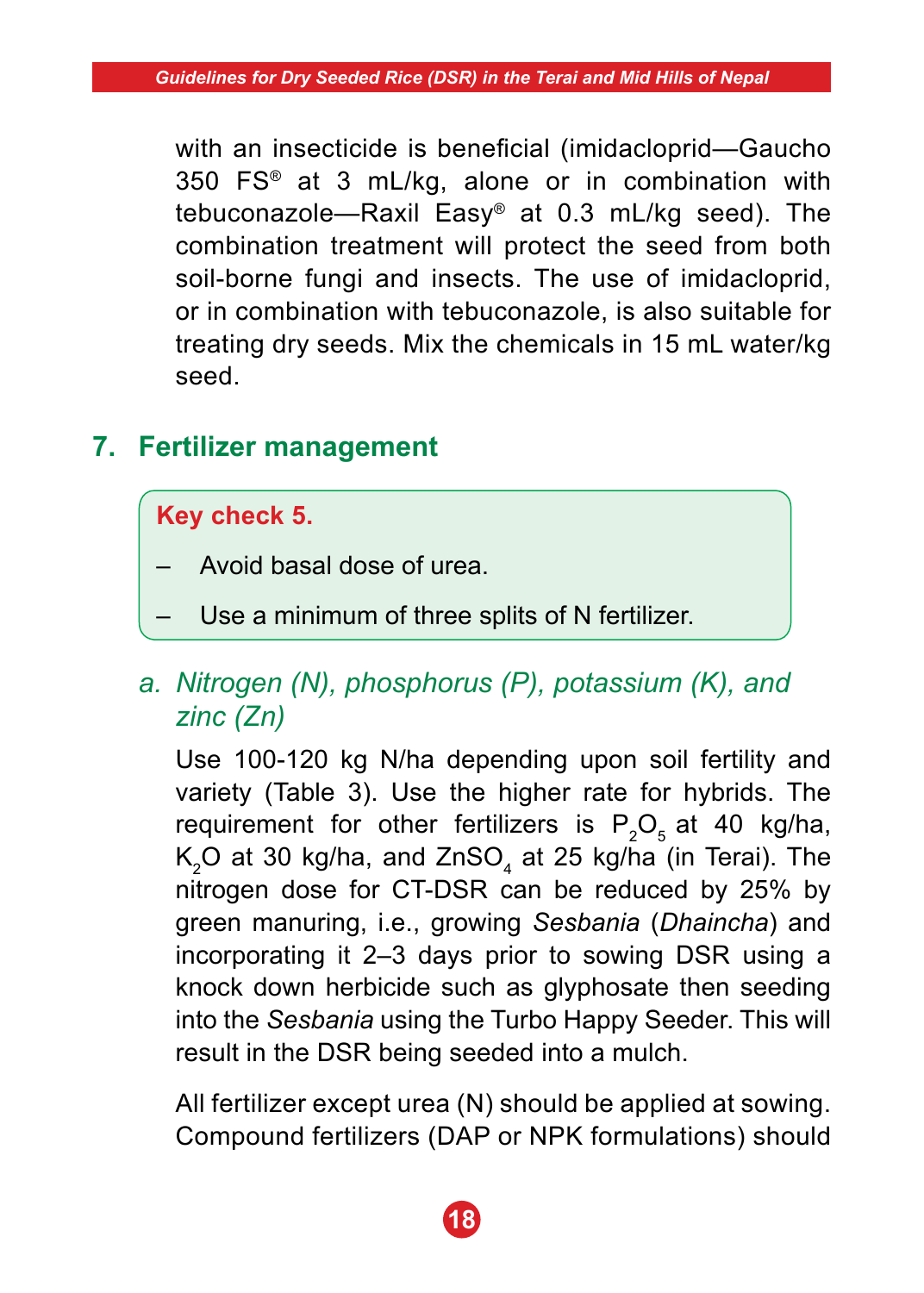with an insecticide is beneficial (imidacloprid—Gaucho 350 FS® at 3 mL/kg, alone or in combination with tebuconazole—Raxil Easy® at 0.3 mL/kg seed). The combination treatment will protect the seed from both soil-borne fungi and insects. The use of imidacloprid, or in combination with tebuconazole, is also suitable for treating dry seeds. Mix the chemicals in 15 mL water/kg seed.

# **7. Fertilizer management**

### **Key check 5.**

- Avoid basal dose of urea.
- Use a minimum of three splits of N fertilizer.

# *a. Nitrogen (N), phosphorus (P), potassium (K), and zinc (Zn)*

Use 100-120 kg N/ha depending upon soil fertility and variety (Table 3). Use the higher rate for hybrids. The requirement for other fertilizers is  $P_2O_5$  at 40 kg/ha,  $\mathsf{K}_2\mathsf{O}$  at 30 kg/ha, and ZnSO $_4$  at 25 kg/ha (in Terai). The nitrogen dose for CT-DSR can be reduced by 25% by green manuring, i.e., growing *Sesbania* (*Dhaincha*) and incorporating it 2–3 days prior to sowing DSR using a knock down herbicide such as glyphosate then seeding into the *Sesbania* using the Turbo Happy Seeder. This will result in the DSR being seeded into a mulch.

 All fertilizer except urea (N) should be applied at sowing. Compound fertilizers (DAP or NPK formulations) should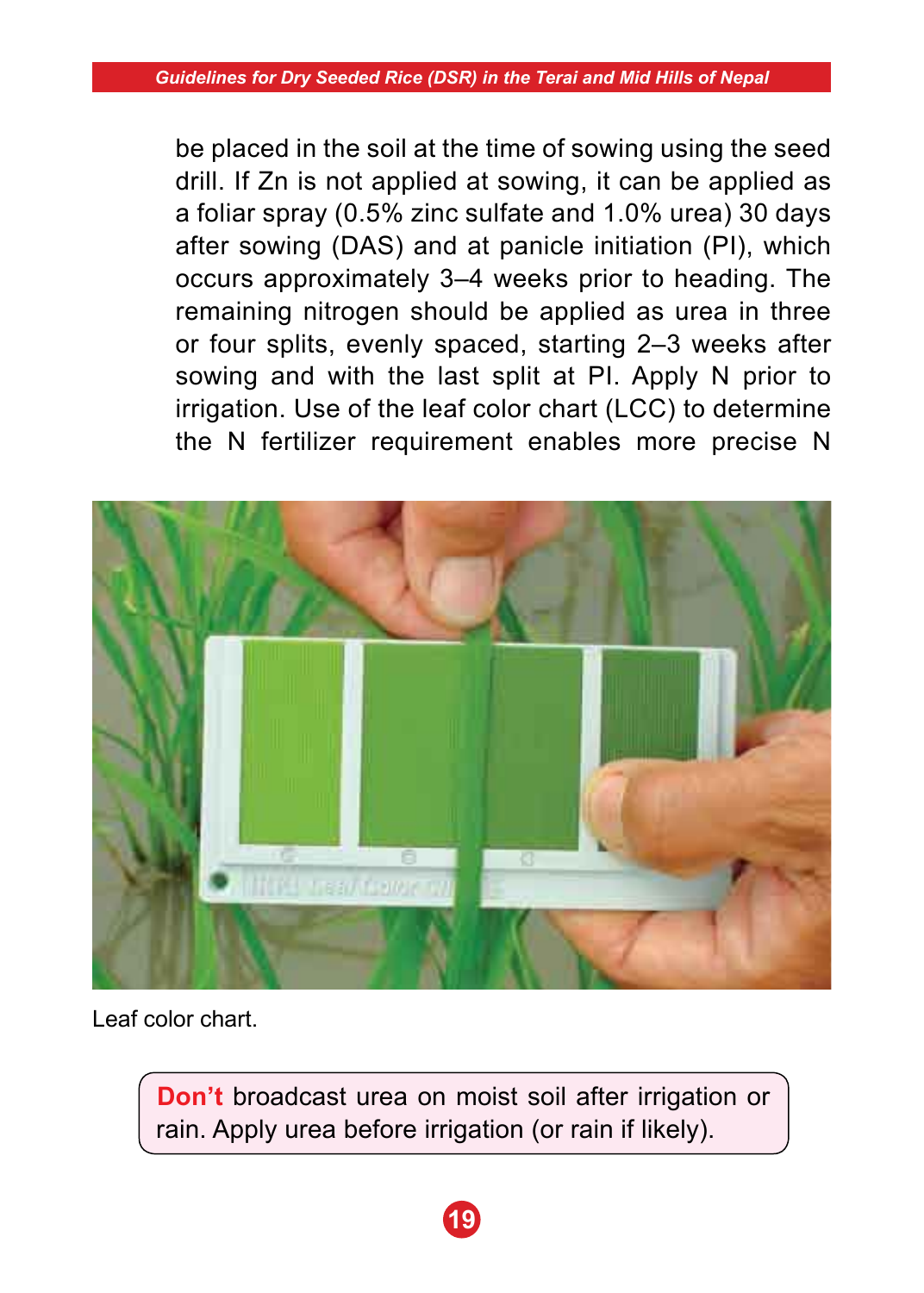be placed in the soil at the time of sowing using the seed drill. If Zn is not applied at sowing, it can be applied as a foliar spray (0.5% zinc sulfate and 1.0% urea) 30 days after sowing (DAS) and at panicle initiation (PI), which occurs approximately 3–4 weeks prior to heading. The remaining nitrogen should be applied as urea in three or four splits, evenly spaced, starting 2–3 weeks after sowing and with the last split at PI. Apply N prior to irrigation. Use of the leaf color chart (LCC) to determine the N fertilizer requirement enables more precise N



Leaf color chart.

**Don't** broadcast urea on moist soil after irrigation or rain. Apply urea before irrigation (or rain if likely).

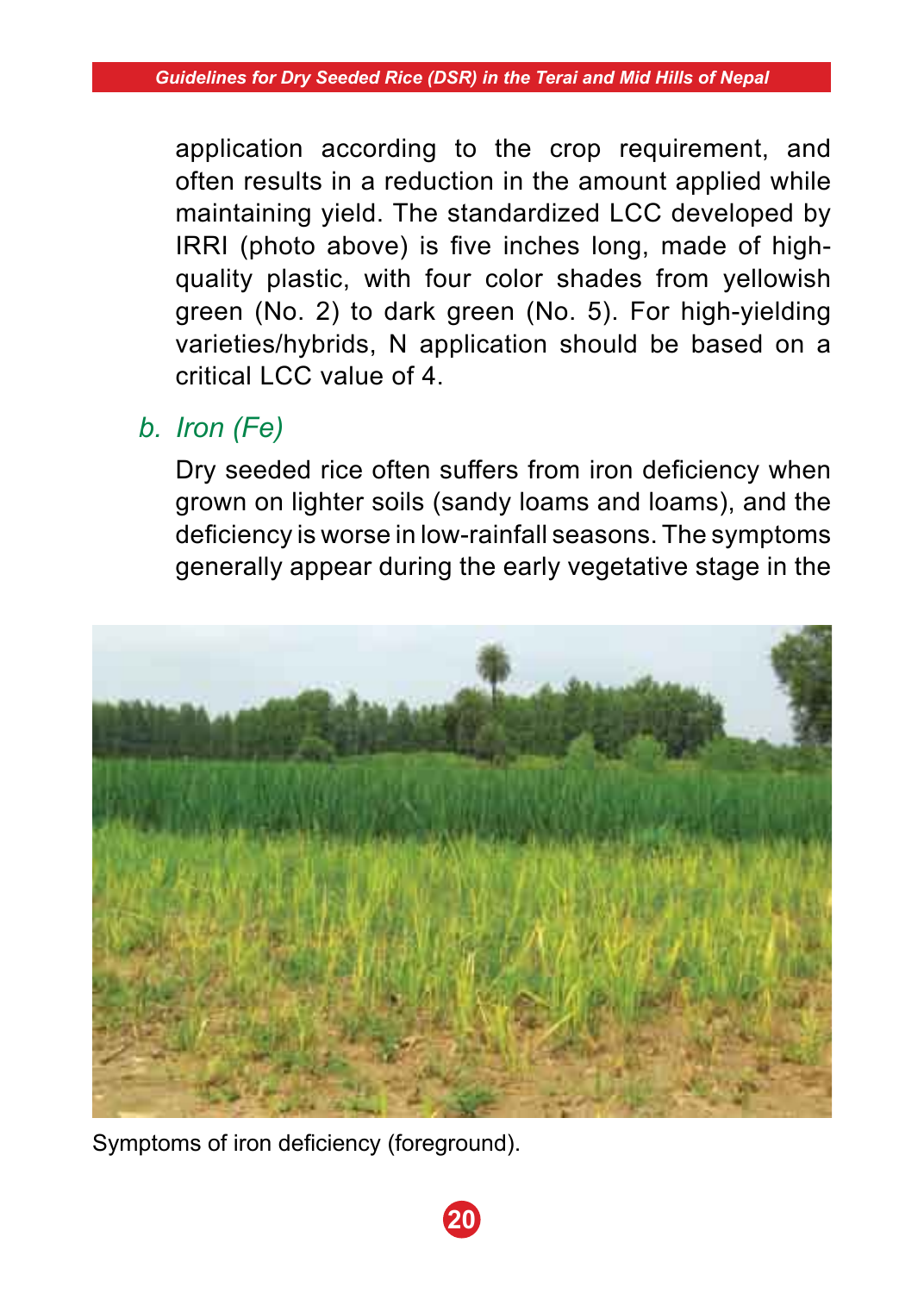application according to the crop requirement, and often results in a reduction in the amount applied while maintaining yield. The standardized LCC developed by IRRI (photo above) is five inches long, made of highquality plastic, with four color shades from yellowish green (No. 2) to dark green (No. 5). For high-yielding varieties/hybrids, N application should be based on a critical LCC value of 4.

# *b. Iron (Fe)*

Dry seeded rice often suffers from iron deficiency when grown on lighter soils (sandy loams and loams), and the deficiency is worse in low-rainfall seasons. The symptoms generally appear during the early vegetative stage in the



**20**

Symptoms of iron deficiency (foreground).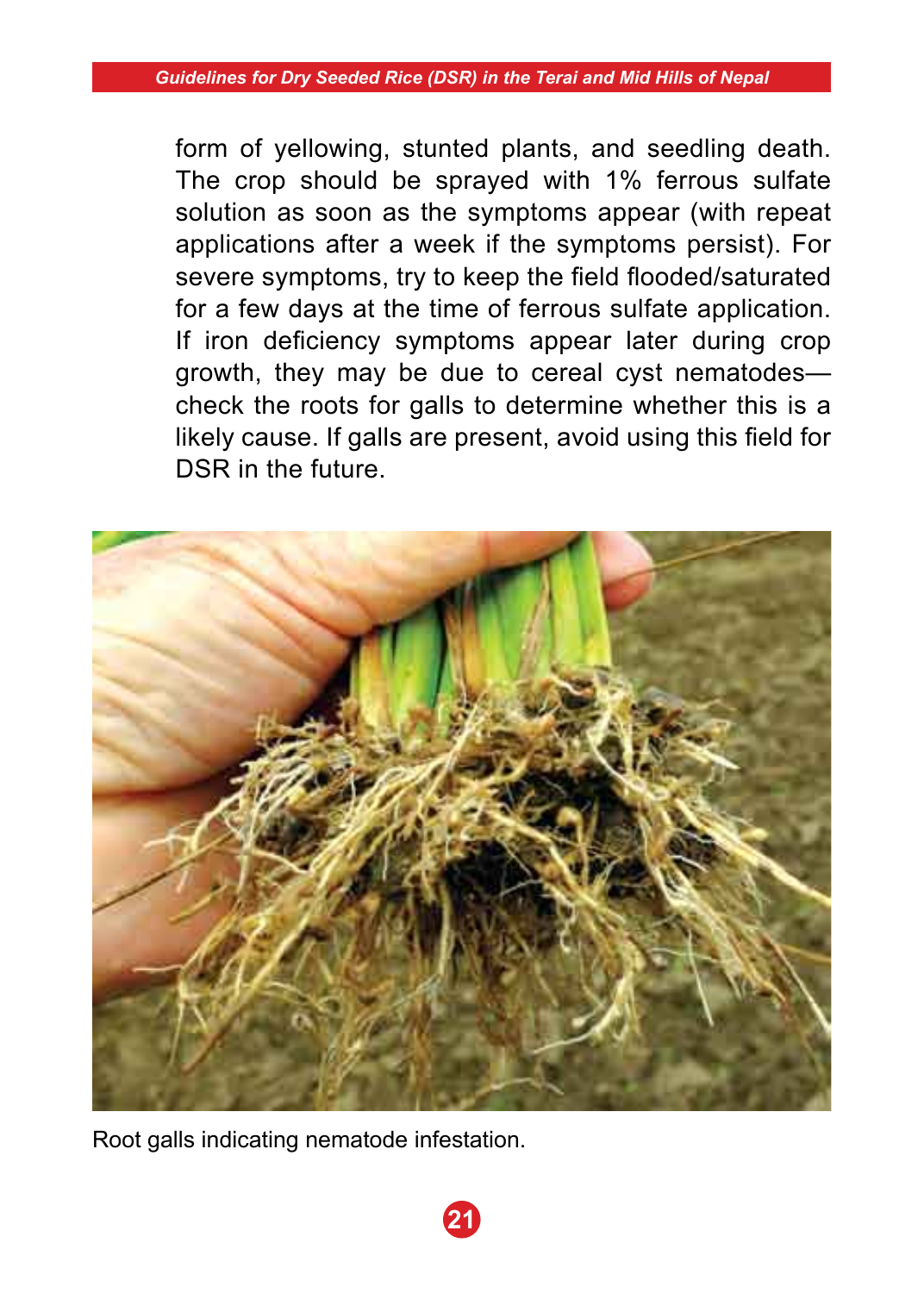form of yellowing, stunted plants, and seedling death. The crop should be sprayed with 1% ferrous sulfate solution as soon as the symptoms appear (with repeat applications after a week if the symptoms persist). For severe symptoms, try to keep the field flooded/saturated for a few days at the time of ferrous sulfate application. If iron deficiency symptoms appear later during crop growth, they may be due to cereal cyst nematodes check the roots for galls to determine whether this is a likely cause. If galls are present, avoid using this field for DSR in the future.



Root galls indicating nematode infestation.

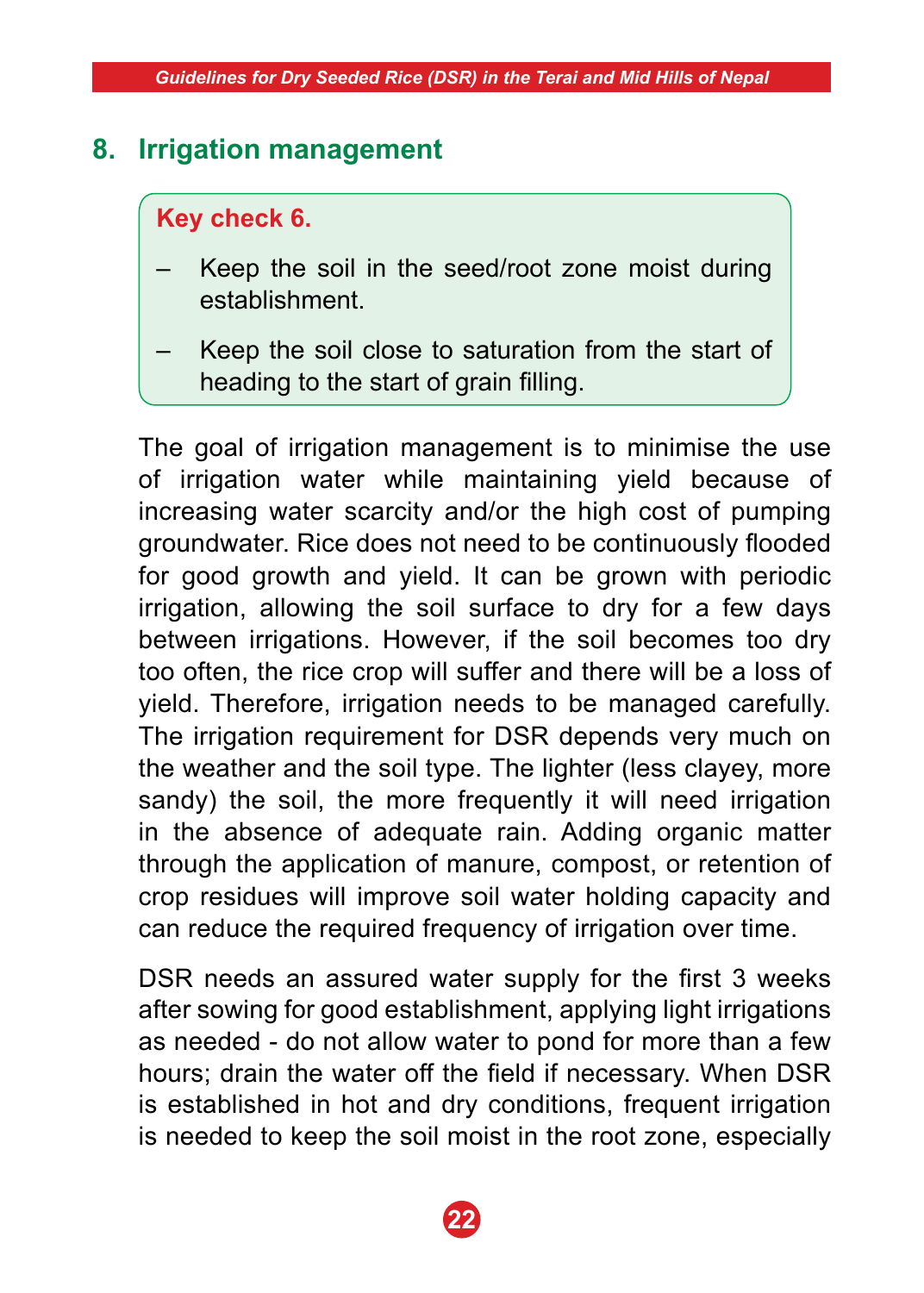# **8. Irrigation management**

### **Key check 6.**

- Keep the soil in the seed/root zone moist during establishment.
- Keep the soil close to saturation from the start of heading to the start of grain filling.

 The goal of irrigation management is to minimise the use of irrigation water while maintaining yield because of increasing water scarcity and/or the high cost of pumping groundwater. Rice does not need to be continuously flooded for good growth and yield. It can be grown with periodic irrigation, allowing the soil surface to dry for a few days between irrigations. However, if the soil becomes too dry too often, the rice crop will suffer and there will be a loss of yield. Therefore, irrigation needs to be managed carefully. The irrigation requirement for DSR depends very much on the weather and the soil type. The lighter (less clayey, more sandy) the soil, the more frequently it will need irrigation in the absence of adequate rain. Adding organic matter through the application of manure, compost, or retention of crop residues will improve soil water holding capacity and can reduce the required frequency of irrigation over time.

 DSR needs an assured water supply for the first 3 weeks after sowing for good establishment, applying light irrigations as needed - do not allow water to pond for more than a few hours; drain the water off the field if necessary. When DSR is established in hot and dry conditions, frequent irrigation is needed to keep the soil moist in the root zone, especially

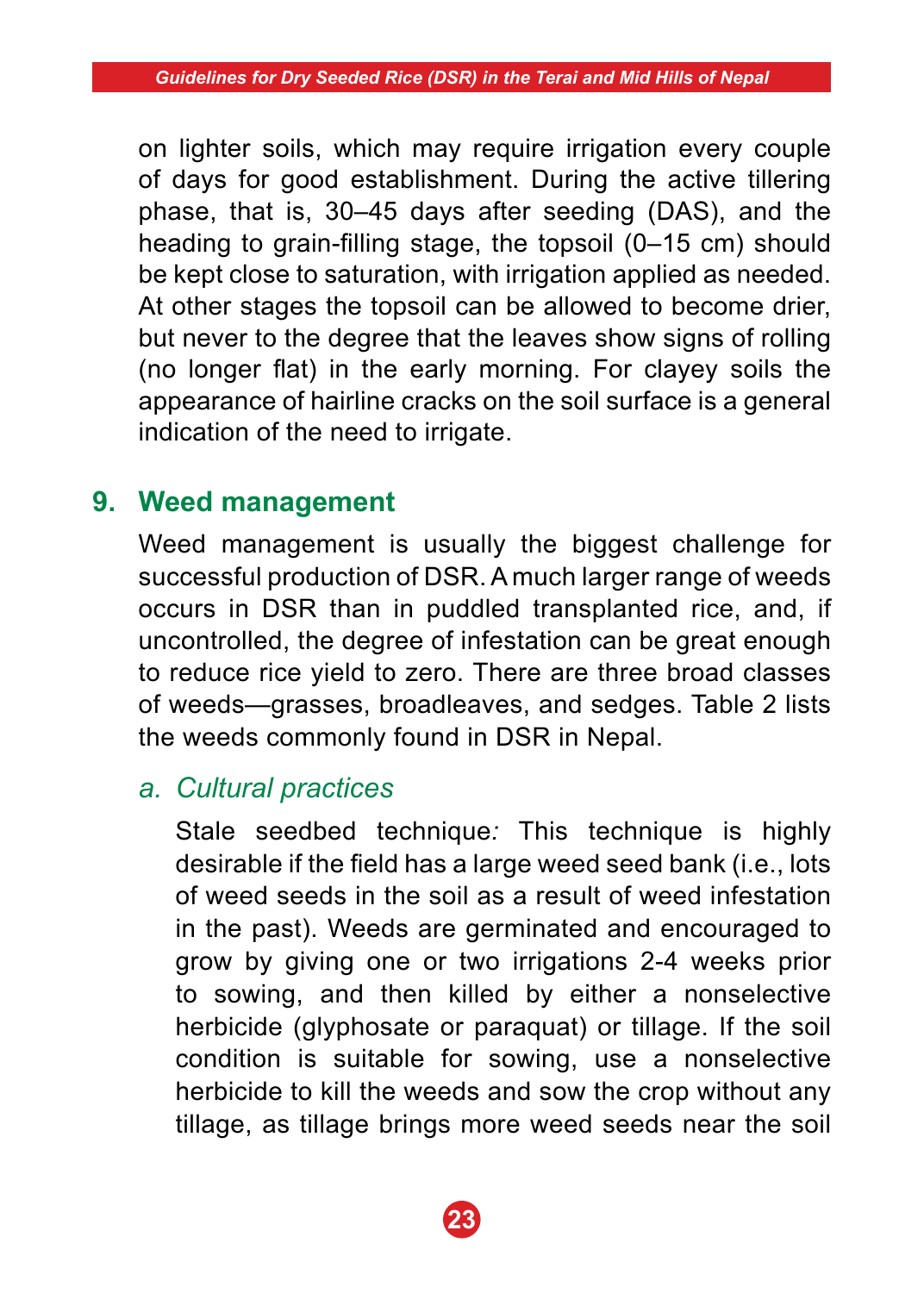on lighter soils, which may require irrigation every couple of days for good establishment. During the active tillering phase, that is, 30–45 days after seeding (DAS), and the heading to grain-filling stage, the topsoil (0–15 cm) should be kept close to saturation, with irrigation applied as needed. At other stages the topsoil can be allowed to become drier, but never to the degree that the leaves show signs of rolling (no longer flat) in the early morning. For clayey soils the appearance of hairline cracks on the soil surface is a general indication of the need to irrigate.

# **9. Weed management**

 Weed management is usually the biggest challenge for successful production of DSR. A much larger range of weeds occurs in DSR than in puddled transplanted rice, and, if uncontrolled, the degree of infestation can be great enough to reduce rice yield to zero. There are three broad classes of weeds—grasses, broadleaves, and sedges. Table 2 lists the weeds commonly found in DSR in Nepal.

# *a. Cultural practices*

 Stale seedbed technique*:* This technique is highly desirable if the field has a large weed seed bank (i.e., lots of weed seeds in the soil as a result of weed infestation in the past). Weeds are germinated and encouraged to grow by giving one or two irrigations 2-4 weeks prior to sowing, and then killed by either a nonselective herbicide (glyphosate or paraquat) or tillage. If the soil condition is suitable for sowing, use a nonselective herbicide to kill the weeds and sow the crop without any tillage, as tillage brings more weed seeds near the soil

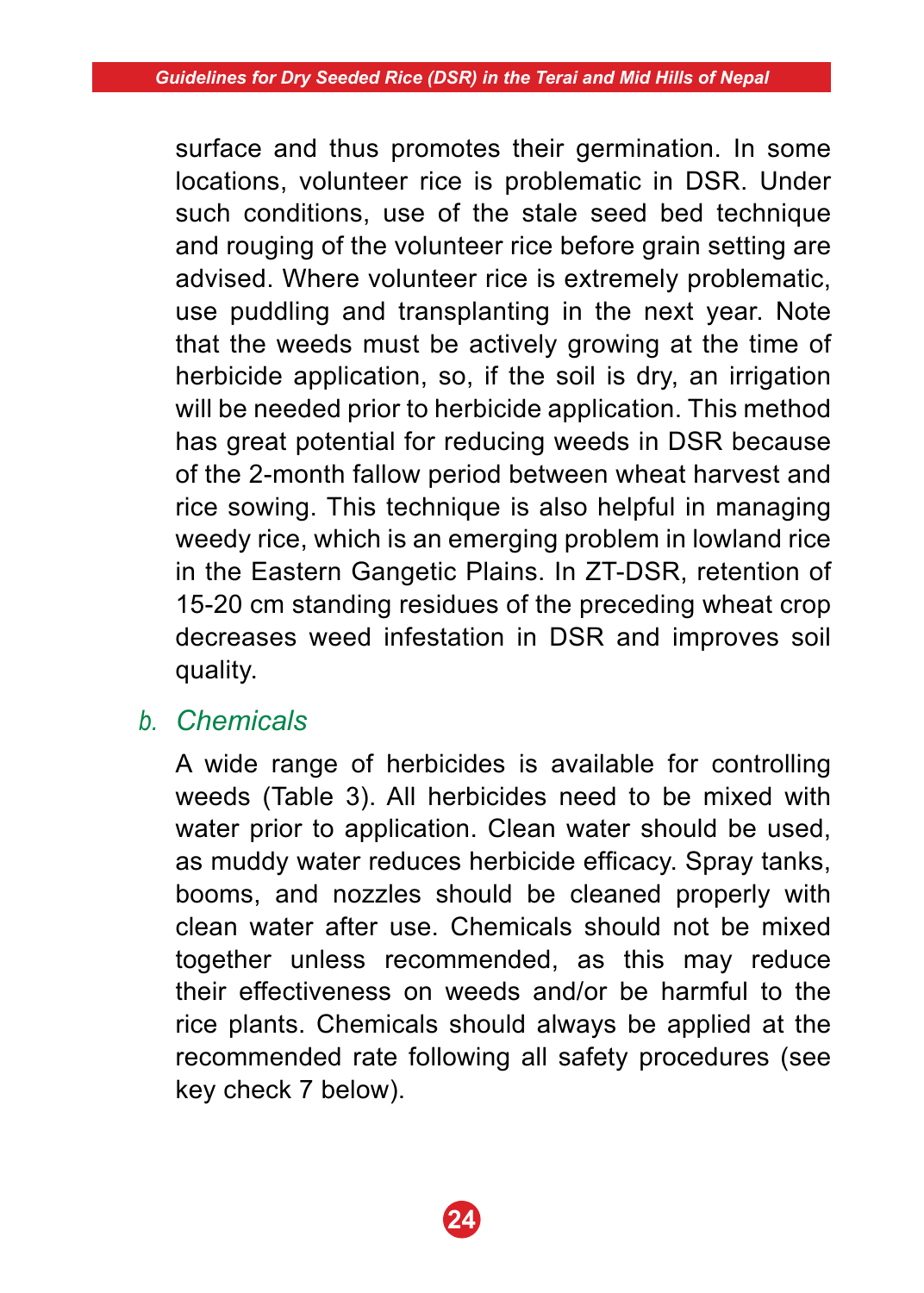surface and thus promotes their germination. In some locations, volunteer rice is problematic in DSR. Under such conditions, use of the stale seed bed technique and rouging of the volunteer rice before grain setting are advised. Where volunteer rice is extremely problematic, use puddling and transplanting in the next year. Note that the weeds must be actively growing at the time of herbicide application, so, if the soil is dry, an irrigation will be needed prior to herbicide application. This method has great potential for reducing weeds in DSR because of the 2-month fallow period between wheat harvest and rice sowing. This technique is also helpful in managing weedy rice, which is an emerging problem in lowland rice in the Eastern Gangetic Plains. In ZT-DSR, retention of 15-20 cm standing residues of the preceding wheat crop decreases weed infestation in DSR and improves soil quality.

# *b. Chemicals*

 A wide range of herbicides is available for controlling weeds (Table 3). All herbicides need to be mixed with water prior to application. Clean water should be used, as muddy water reduces herbicide efficacy. Spray tanks, booms, and nozzles should be cleaned properly with clean water after use. Chemicals should not be mixed together unless recommended, as this may reduce their effectiveness on weeds and/or be harmful to the rice plants. Chemicals should always be applied at the recommended rate following all safety procedures (see key check 7 below).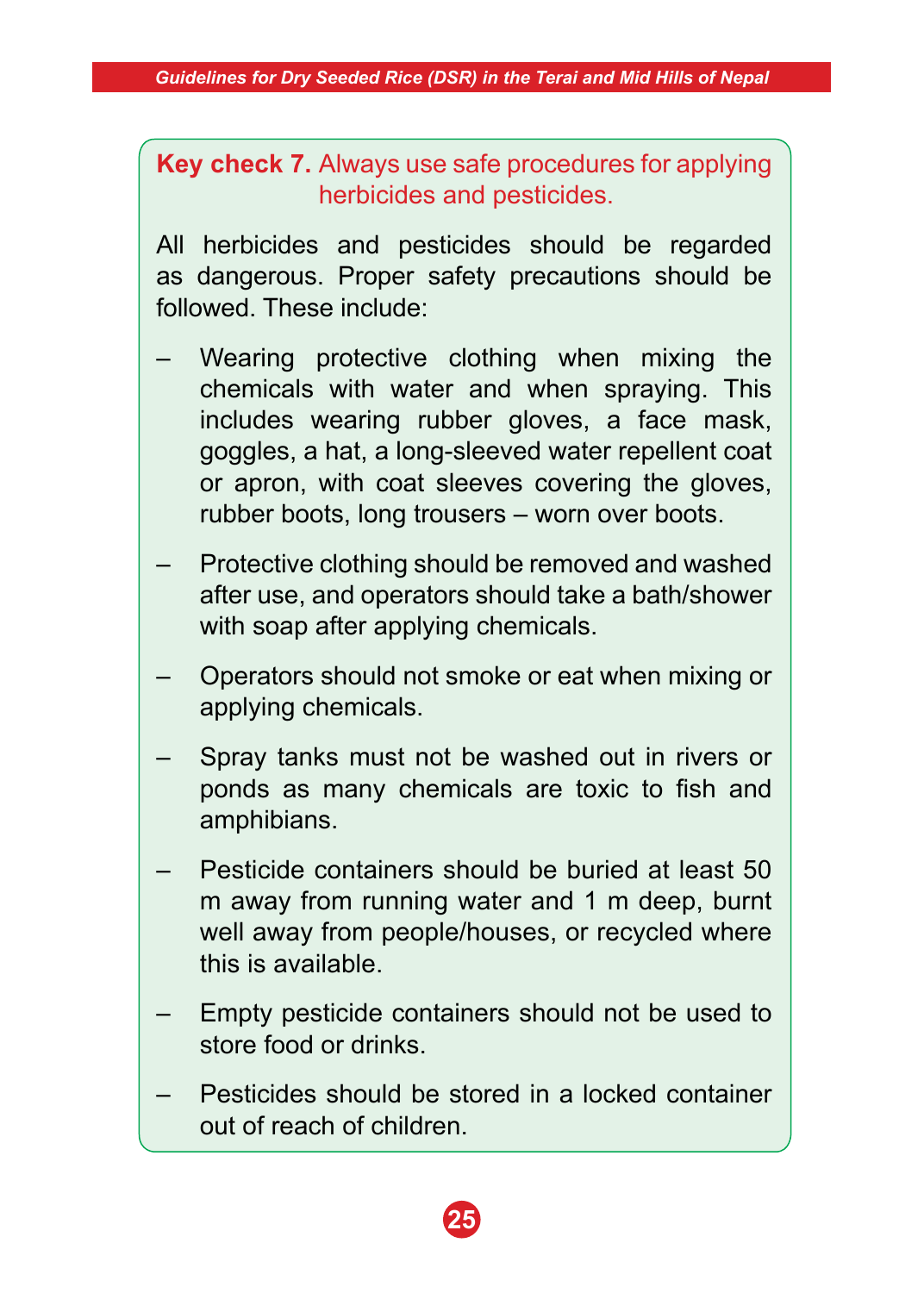**Key check 7.** Always use safe procedures for applying herbicides and pesticides.

All herbicides and pesticides should be regarded as dangerous. Proper safety precautions should be followed. These include:

- Wearing protective clothing when mixing the chemicals with water and when spraying. This includes wearing rubber gloves, a face mask, goggles, a hat, a long-sleeved water repellent coat or apron, with coat sleeves covering the gloves, rubber boots, long trousers – worn over boots.
- Protective clothing should be removed and washed after use, and operators should take a bath/shower with soap after applying chemicals.
- Operators should not smoke or eat when mixing or applying chemicals.
- Spray tanks must not be washed out in rivers or ponds as many chemicals are toxic to fish and amphibians.
- Pesticide containers should be buried at least 50 m away from running water and 1 m deep, burnt well away from people/houses, or recycled where this is available.
- Empty pesticide containers should not be used to store food or drinks.
- Pesticides should be stored in a locked container out of reach of children.

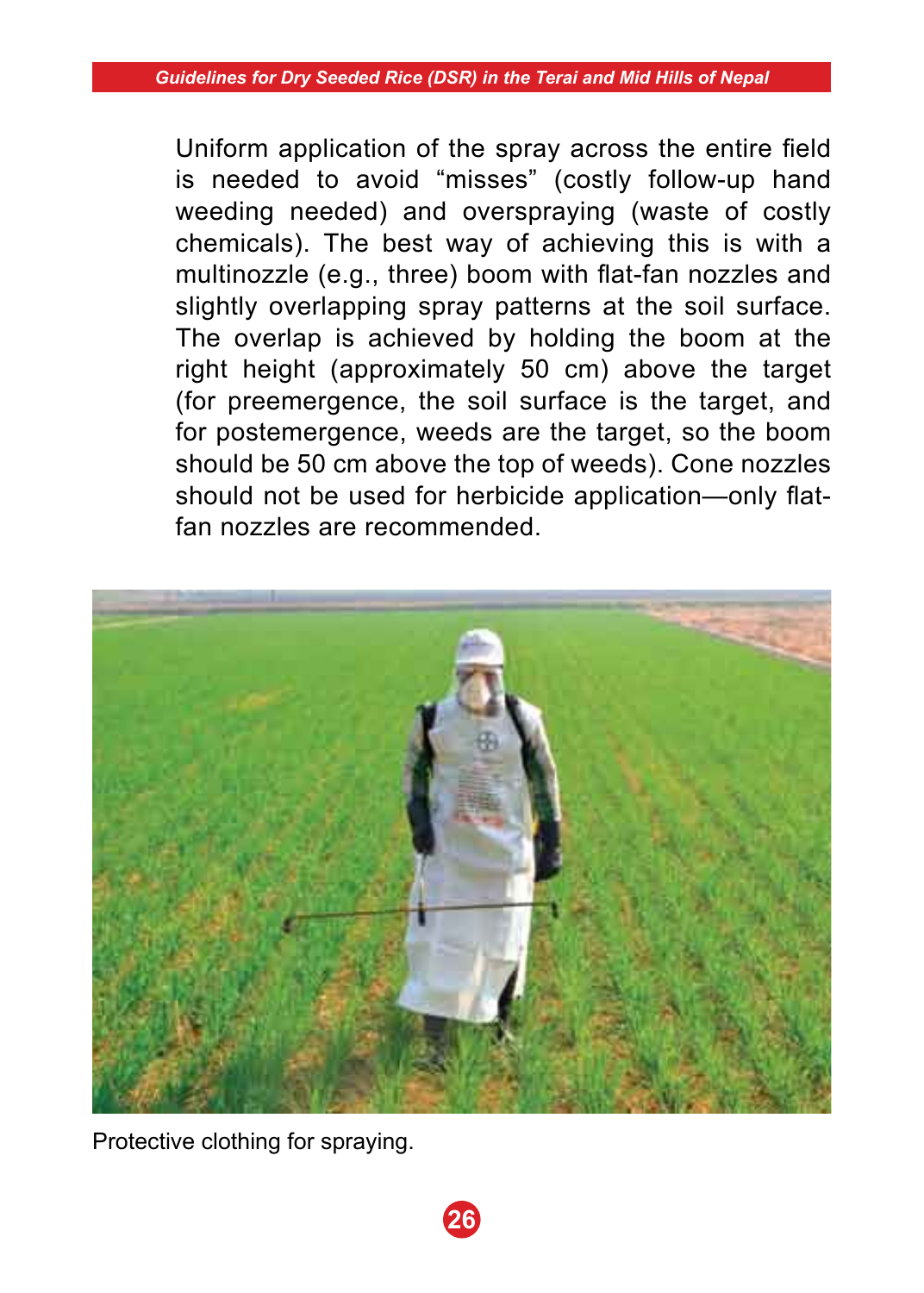Uniform application of the spray across the entire field is needed to avoid "misses" (costly follow-up hand weeding needed) and overspraying (waste of costly chemicals). The best way of achieving this is with a multinozzle (e.g., three) boom with flat-fan nozzles and slightly overlapping spray patterns at the soil surface. The overlap is achieved by holding the boom at the right height (approximately 50 cm) above the target (for preemergence, the soil surface is the target, and for postemergence, weeds are the target, so the boom should be 50 cm above the top of weeds). Cone nozzles should not be used for herbicide application—only flatfan nozzles are recommended.



**26**

Protective clothing for spraying.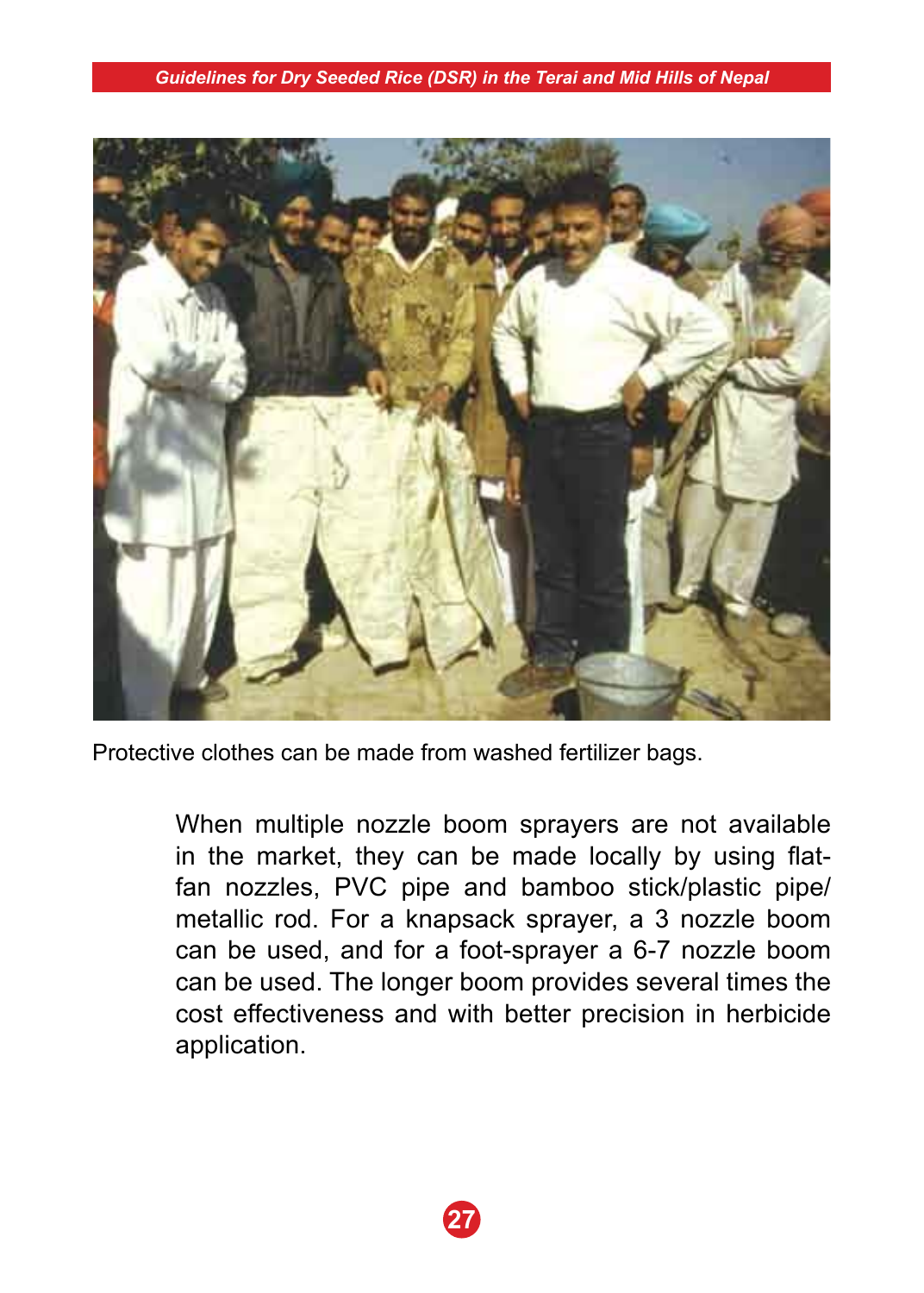

Protective clothes can be made from washed fertilizer bags.

 When multiple nozzle boom sprayers are not available in the market, they can be made locally by using flatfan nozzles, PVC pipe and bamboo stick/plastic pipe/ metallic rod. For a knapsack sprayer, a 3 nozzle boom can be used, and for a foot-sprayer a 6-7 nozzle boom can be used. The longer boom provides several times the cost effectiveness and with better precision in herbicide application.

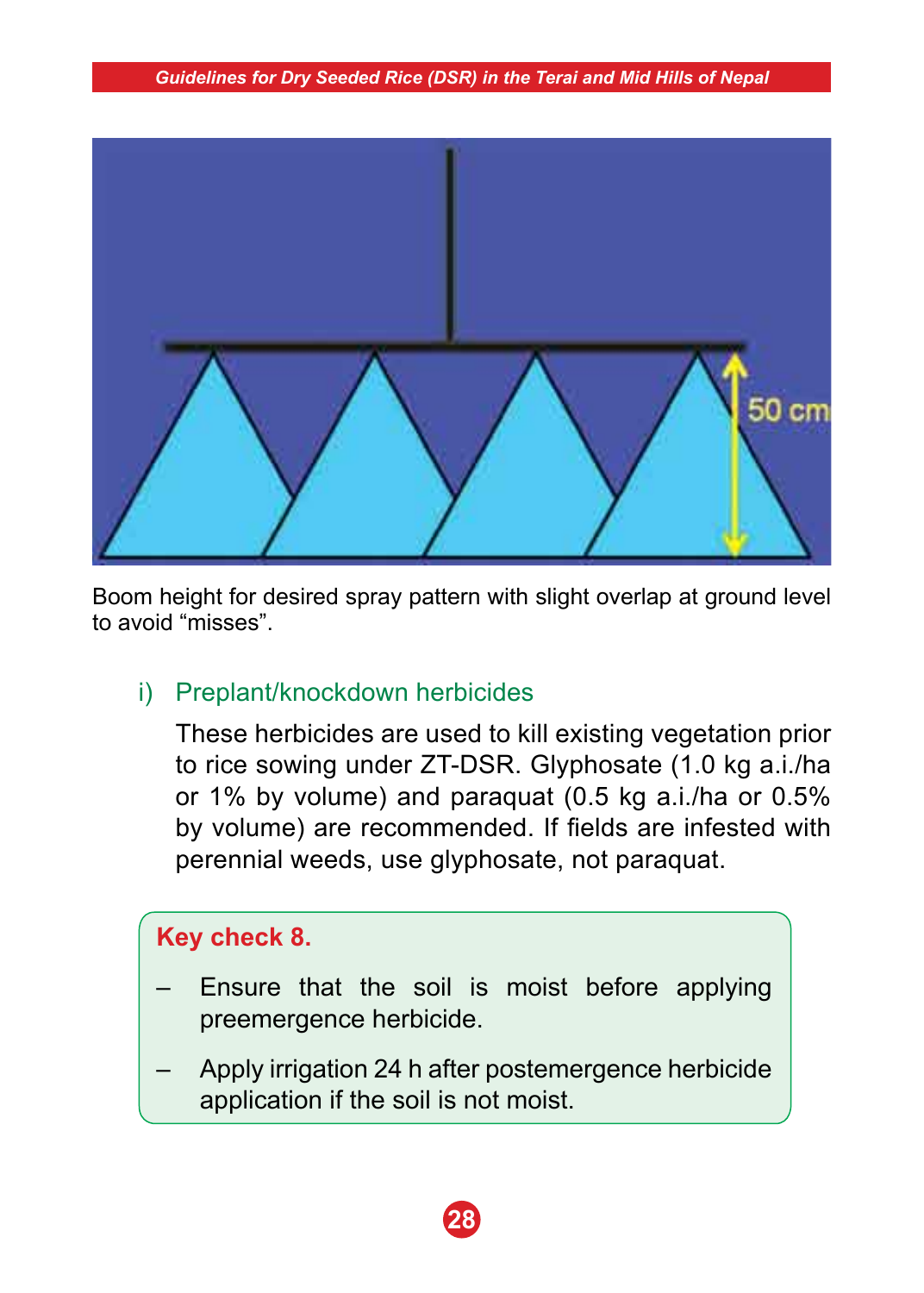

Boom height for desired spray pattern with slight overlap at ground level to avoid "misses".

# i) Preplant/knockdown herbicides

 These herbicides are used to kill existing vegetation prior to rice sowing under ZT-DSR. Glyphosate (1.0 kg a.i./ha or 1% by volume) and paraquat (0.5 kg a.i./ha or 0.5% by volume) are recommended. If fields are infested with perennial weeds, use glyphosate, not paraquat.

# **Key check 8.**

- Ensure that the soil is moist before applying preemergence herbicide.
- Apply irrigation 24 h after postemergence herbicide application if the soil is not moist.

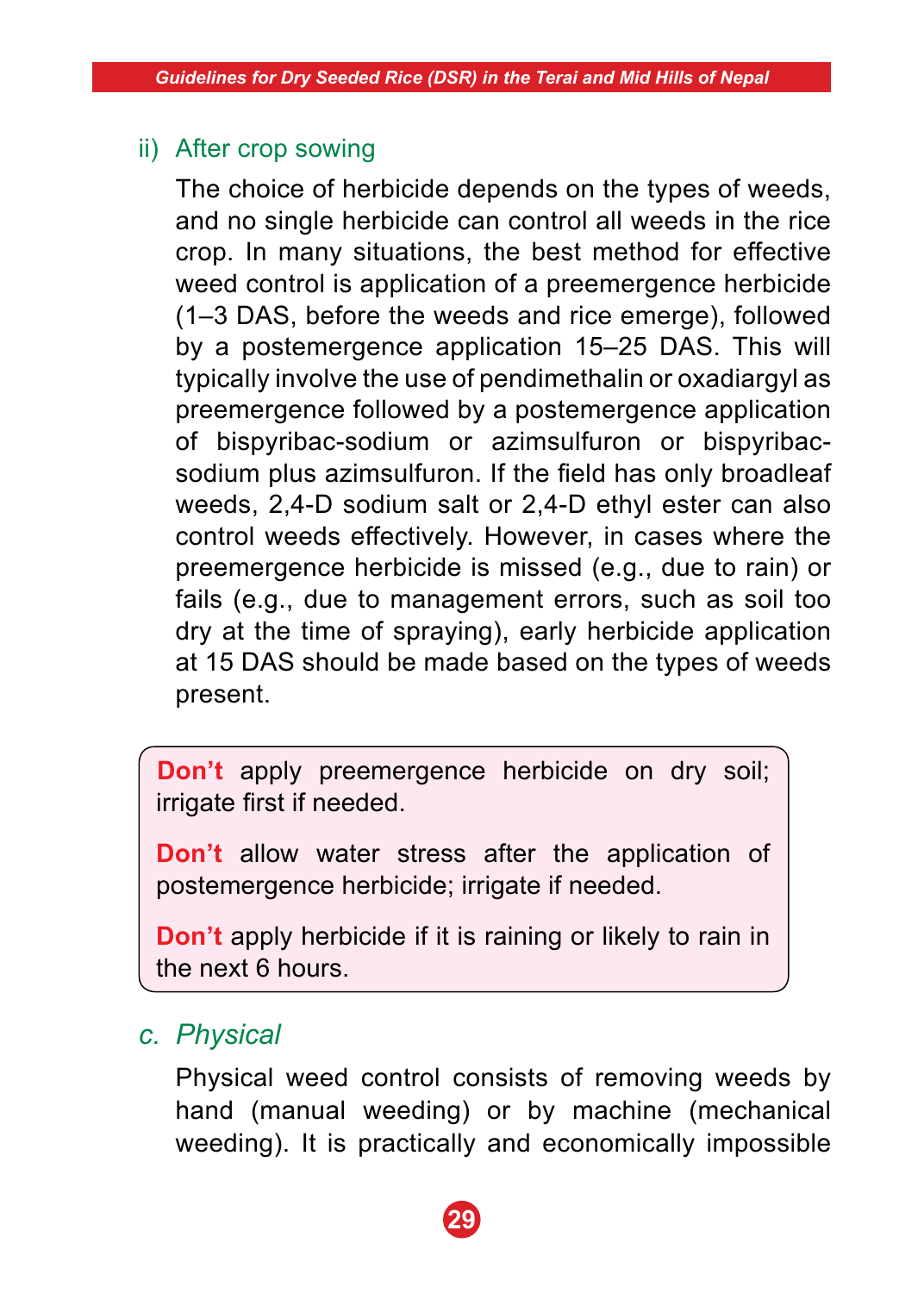### ii) After crop sowing

 The choice of herbicide depends on the types of weeds, and no single herbicide can control all weeds in the rice crop. In many situations, the best method for effective weed control is application of a preemergence herbicide (1–3 DAS, before the weeds and rice emerge), followed by a postemergence application 15–25 DAS. This will typically involve the use of pendimethalin or oxadiargyl as preemergence followed by a postemergence application of bispyribac-sodium or azimsulfuron or bispyribacsodium plus azimsulfuron. If the field has only broadleaf weeds, 2,4-D sodium salt or 2,4-D ethyl ester can also control weeds effectively. However, in cases where the preemergence herbicide is missed (e.g., due to rain) or fails (e.g., due to management errors, such as soil too dry at the time of spraying), early herbicide application at 15 DAS should be made based on the types of weeds present.

**Don't** apply preemergence herbicide on dry soil; irrigate first if needed.

**Don't** allow water stress after the application of postemergence herbicide; irrigate if needed.

**Don't** apply herbicide if it is raining or likely to rain in the next 6 hours.

# *c. Physical*

 Physical weed control consists of removing weeds by hand (manual weeding) or by machine (mechanical weeding). It is practically and economically impossible

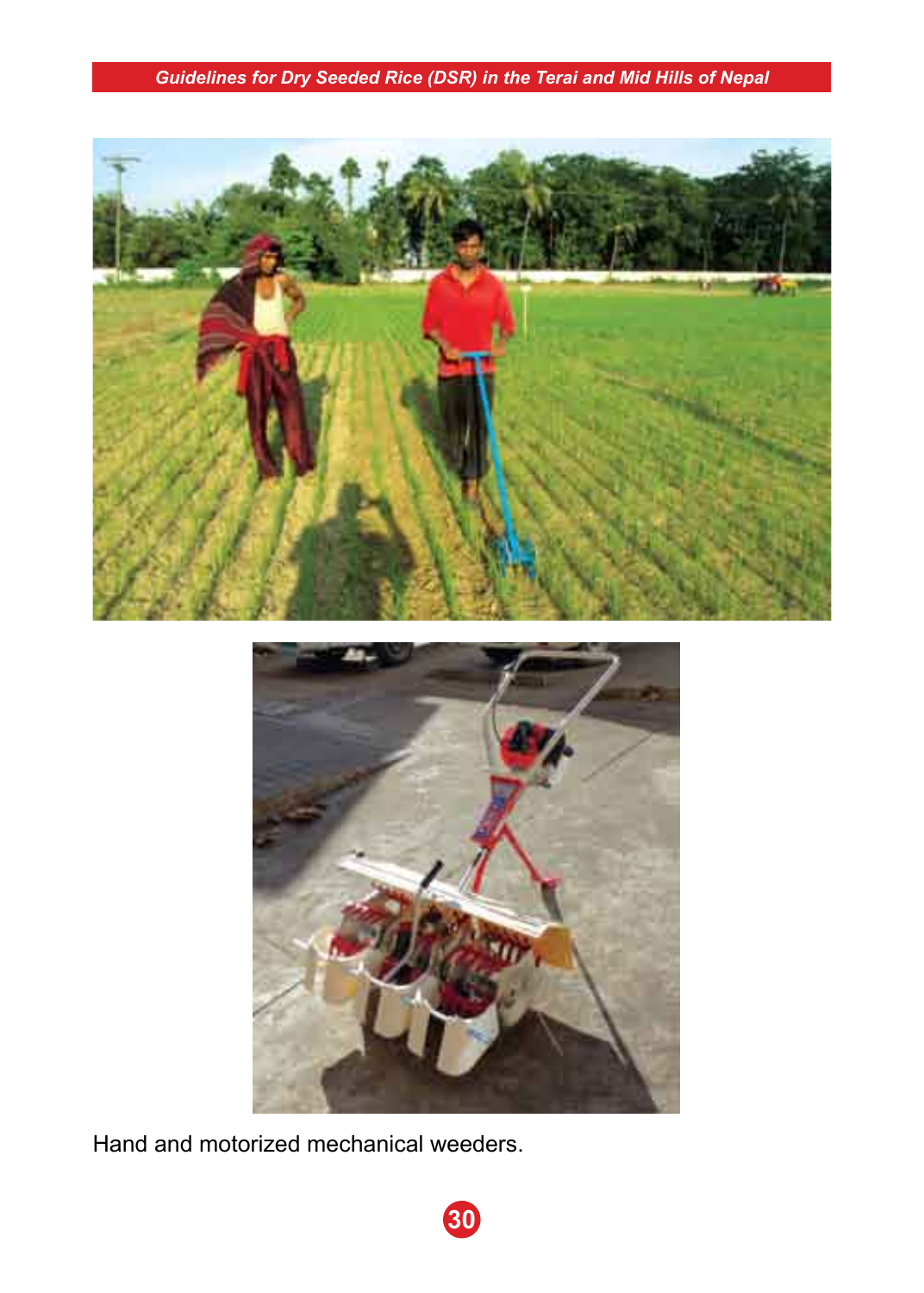

Hand and motorized mechanical weeders.

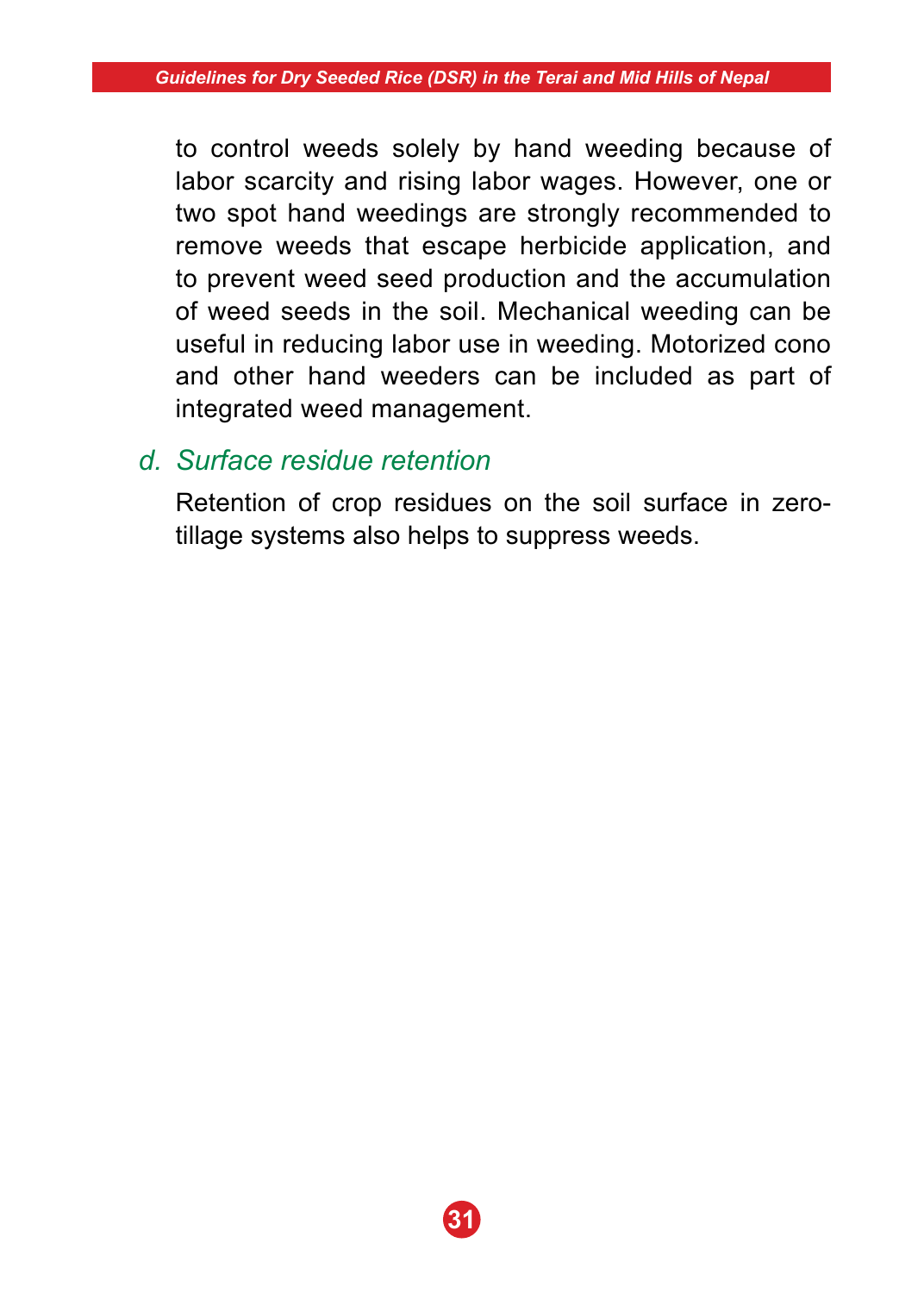to control weeds solely by hand weeding because of labor scarcity and rising labor wages. However, one or two spot hand weedings are strongly recommended to remove weeds that escape herbicide application, and to prevent weed seed production and the accumulation of weed seeds in the soil. Mechanical weeding can be useful in reducing labor use in weeding. Motorized cono and other hand weeders can be included as part of integrated weed management.

### *d. Surface residue retention*

 Retention of crop residues on the soil surface in zerotillage systems also helps to suppress weeds.

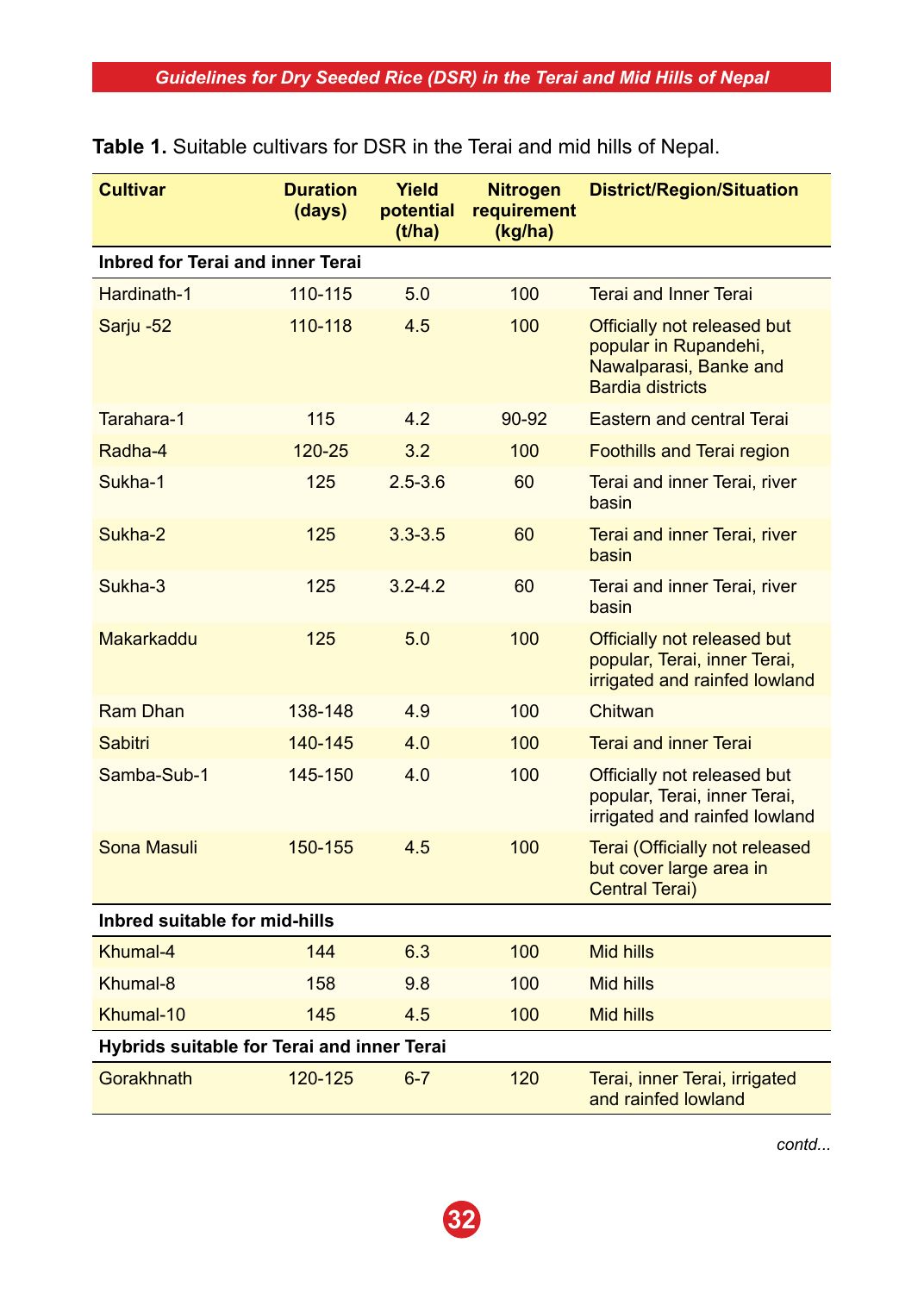| <b>Cultivar</b>                            | <b>Duration</b><br>(days) | Yield<br>potential<br>(t/ha) | <b>Nitrogen</b><br>requirement<br>(kg/ha) | <b>District/Region/Situation</b>                                                                          |
|--------------------------------------------|---------------------------|------------------------------|-------------------------------------------|-----------------------------------------------------------------------------------------------------------|
| Inbred for Terai and inner Terai           |                           |                              |                                           |                                                                                                           |
| Hardinath-1                                | 110-115                   | 5.0                          | 100                                       | <b>Terai and Inner Terai</b>                                                                              |
| Sarju -52                                  | 110-118                   | 4.5                          | 100                                       | Officially not released but<br>popular in Rupandehi,<br>Nawalparasi, Banke and<br><b>Bardia districts</b> |
| Tarahara-1                                 | 115                       | 4.2                          | $90 - 92$                                 | Eastern and central Terai                                                                                 |
| Radha-4                                    | 120-25                    | 3.2                          | 100                                       | Foothills and Terai region                                                                                |
| Sukha-1                                    | 125                       | $2.5 - 3.6$                  | 60                                        | Terai and inner Terai, river<br>basin                                                                     |
| Sukha-2                                    | 125                       | $3.3 - 3.5$                  | 60                                        | Terai and inner Terai, river<br>basin                                                                     |
| Sukha-3                                    | 125                       | $3.2 - 4.2$                  | 60                                        | Terai and inner Terai, river<br>basin                                                                     |
| Makarkaddu                                 | 125                       | 5.0                          | 100                                       | Officially not released but<br>popular, Terai, inner Terai,<br>irrigated and rainfed lowland              |
| Ram Dhan                                   | 138-148                   | 4.9                          | 100                                       | Chitwan                                                                                                   |
| Sabitri                                    | 140-145                   | 4.0                          | 100                                       | <b>Terai and inner Terai</b>                                                                              |
| Samba-Sub-1                                | 145-150                   | 4.0                          | 100                                       | Officially not released but<br>popular, Terai, inner Terai,<br>irrigated and rainfed lowland              |
| Sona Masuli                                | 150-155                   | 4.5                          | 100                                       | Terai (Officially not released<br>but cover large area in<br>Central Terai)                               |
| Inbred suitable for mid-hills              |                           |                              |                                           |                                                                                                           |
| Khumal-4                                   | 144                       | 6.3                          | 100                                       | Mid hills                                                                                                 |
| Khumal-8                                   | 158                       | 9.8                          | 100                                       | Mid hills                                                                                                 |
| Khumal-10                                  | 145                       | 4.5                          | 100                                       | Mid hills                                                                                                 |
| Hybrids suitable for Terai and inner Terai |                           |                              |                                           |                                                                                                           |
| Gorakhnath                                 | 120-125                   | $6 - 7$                      | 120                                       | Terai, inner Terai, irrigated<br>and rainfed lowland                                                      |

|  | <b>Table 1.</b> Suitable cultivars for DSR in the Terai and mid hills of Nepal. |  |  |  |  |  |  |  |
|--|---------------------------------------------------------------------------------|--|--|--|--|--|--|--|
|--|---------------------------------------------------------------------------------|--|--|--|--|--|--|--|

*contd...*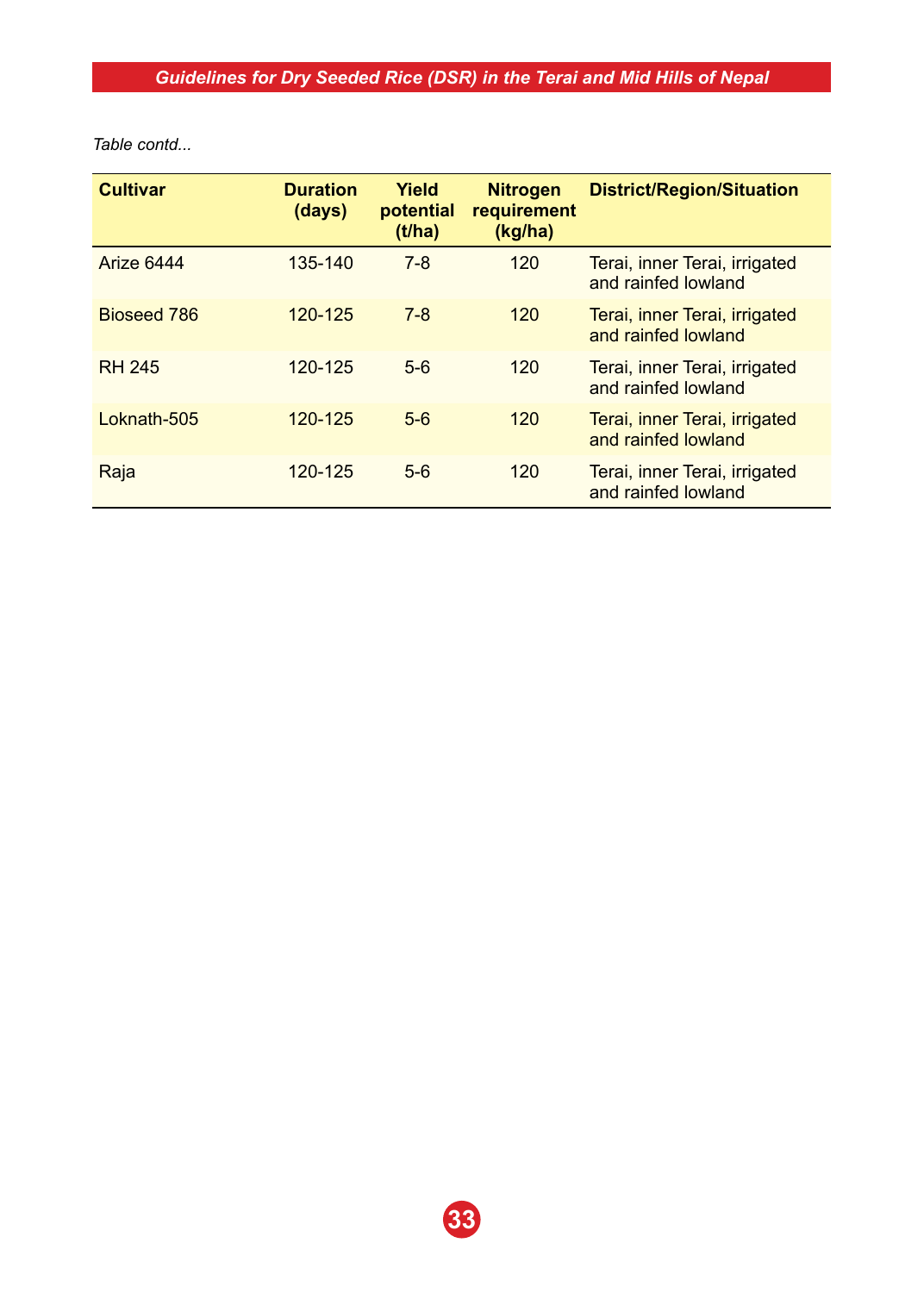*Table contd...*

| <b>Cultivar</b> | <b>Duration</b><br>(days) | Yield<br>potential<br>(t/ha) | <b>Nitrogen</b><br>requirement<br>(kg/ha) | <b>District/Region/Situation</b>                     |
|-----------------|---------------------------|------------------------------|-------------------------------------------|------------------------------------------------------|
| Arize 6444      | 135-140                   | $7 - 8$                      | 120                                       | Terai, inner Terai, irrigated<br>and rainfed lowland |
| Bioseed 786     | $120 - 125$               | $7 - 8$                      | 120                                       | Terai, inner Terai, irrigated<br>and rainfed lowland |
| <b>RH 245</b>   | 120-125                   | $5-6$                        | 120                                       | Terai, inner Terai, irrigated<br>and rainfed lowland |
| Loknath-505     | 120-125                   | $5-6$                        | 120                                       | Terai, inner Terai, irrigated<br>and rainfed lowland |
| Raja            | 120-125                   | $5-6$                        | 120                                       | Terai, inner Terai, irrigated<br>and rainfed lowland |

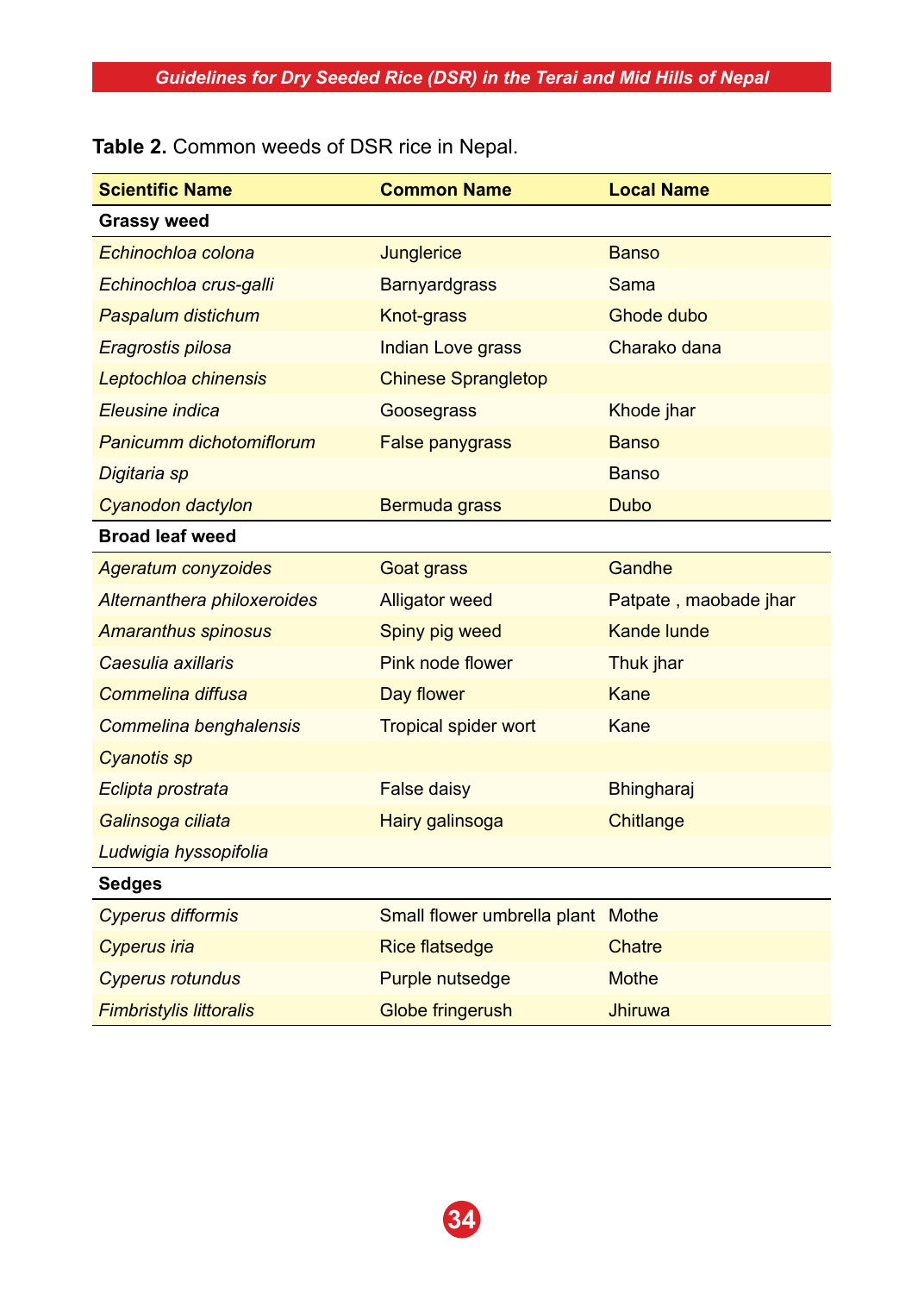**Table 2.** Common weeds of DSR rice in Nepal.

| <b>Scientific Name</b>         | <b>Common Name</b>                | <b>Local Name</b>     |
|--------------------------------|-----------------------------------|-----------------------|
| <b>Grassy weed</b>             |                                   |                       |
| Echinochloa colona             | Junglerice                        | <b>Banso</b>          |
| Echinochloa crus-galli         | <b>Barnyardgrass</b>              | Sama                  |
| Paspalum distichum             | Knot-grass                        | Ghode dubo            |
| Eragrostis pilosa              | <b>Indian Love grass</b>          | Charako dana          |
| Leptochloa chinensis           | <b>Chinese Sprangletop</b>        |                       |
| Eleusine indica                | Goosegrass                        | Khode jhar            |
| Panicumm dichotomiflorum       | <b>False panygrass</b>            | <b>Banso</b>          |
| Digitaria sp                   |                                   | Banso                 |
| Cyanodon dactylon              | Bermuda grass                     | <b>Dubo</b>           |
| <b>Broad leaf weed</b>         |                                   |                       |
| <b>Ageratum conyzoides</b>     | Goat grass                        | Gandhe                |
| Alternanthera philoxeroides    | <b>Alligator weed</b>             | Patpate, maobade jhar |
| <b>Amaranthus spinosus</b>     | Spiny pig weed                    | <b>Kande lunde</b>    |
| Caesulia axillaris             | Pink node flower                  | Thuk jhar             |
| Commelina diffusa              | Day flower                        | Kane                  |
| Commelina benghalensis         | <b>Tropical spider wort</b>       | Kane                  |
| <b>Cyanotis sp</b>             |                                   |                       |
| Eclipta prostrata              | False daisy                       | Bhingharaj            |
| Galinsoga ciliata              | Hairy galinsoga                   | Chitlange             |
| Ludwigia hyssopifolia          |                                   |                       |
| Sedges                         |                                   |                       |
| <b>Cyperus difformis</b>       | Small flower umbrella plant Mothe |                       |
| <b>Cyperus iria</b>            | <b>Rice flatsedge</b>             | Chatre                |
| <b>Cyperus rotundus</b>        | Purple nutsedge                   | Mothe                 |
| <b>Fimbristylis littoralis</b> | Globe fringerush                  | <b>Jhiruwa</b>        |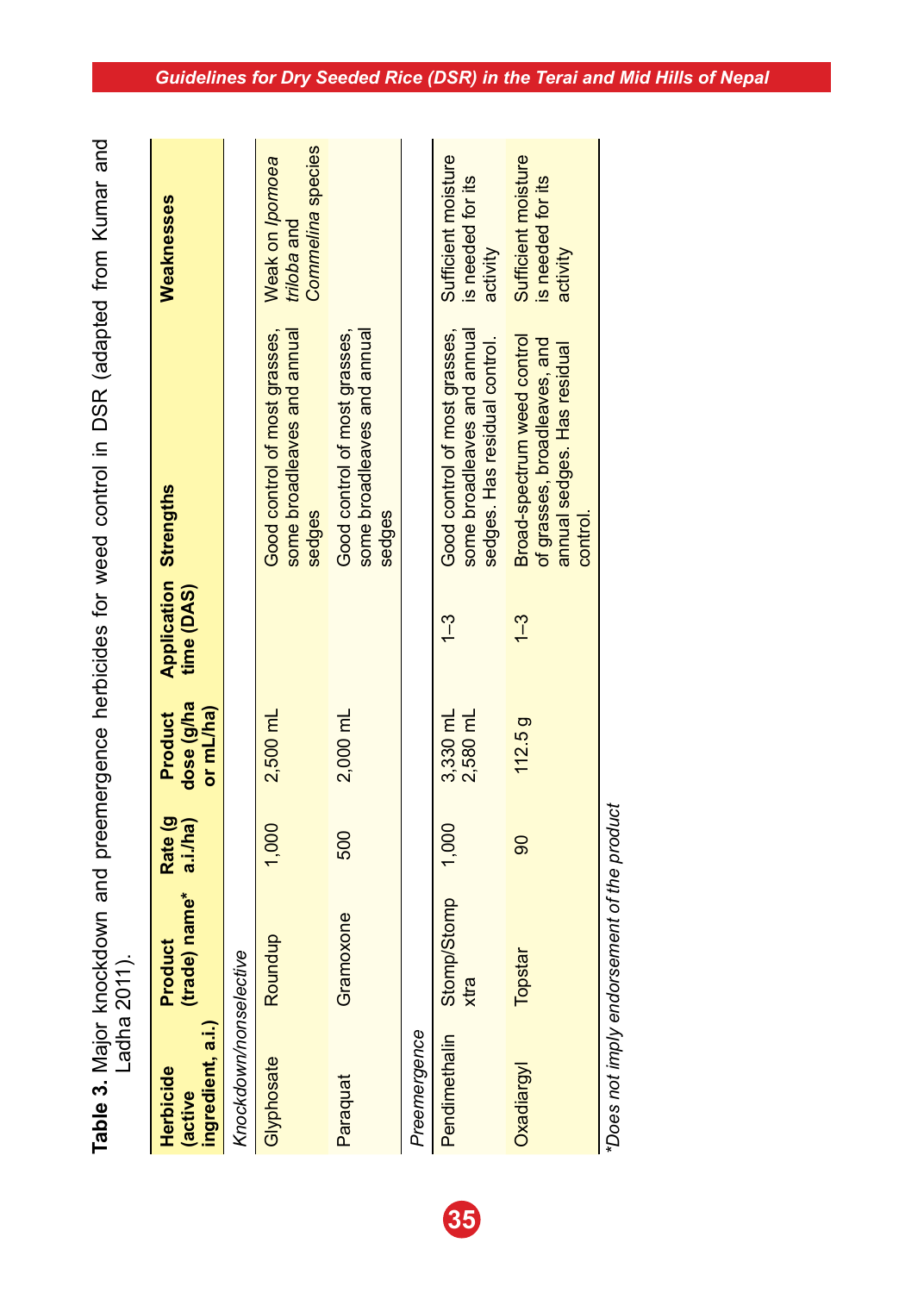| 3<br>3                                         |   |
|------------------------------------------------|---|
| and from Millmar and                           |   |
|                                                |   |
|                                                |   |
| $\sim$ DCD $\sim$                              |   |
|                                                |   |
| - 12:45 CC TCC - 12:45                         |   |
| Í                                              |   |
|                                                |   |
|                                                |   |
| icaco<br><b>. 2010 CONSTRUCTION CONTRACTOR</b> |   |
|                                                |   |
|                                                |   |
|                                                |   |
| able 3. Major I                                | j |
|                                                |   |
|                                                |   |

| ingredient, a.i.)<br>Herbicide<br>(active | (trade) name*<br>Product             | Rate (g)<br>a.i./ha) | dose (g/ha<br>or mL/ha)<br><b>Product</b> | <b>Application Strengths</b><br>time (DAS) |                                                                                                       | Weaknesses                                           |
|-------------------------------------------|--------------------------------------|----------------------|-------------------------------------------|--------------------------------------------|-------------------------------------------------------------------------------------------------------|------------------------------------------------------|
| Knockdown/nonselective                    |                                      |                      |                                           |                                            |                                                                                                       |                                                      |
| Glyphosate                                | Roundup                              | 1,000                | 2,500 mL                                  |                                            | Good control of most grasses,<br>some broadleaves and annual<br>sedges                                | Commelina species<br>Weak on lpomoea<br>triloba and  |
| Paraquat                                  | Gramoxone                            | 500                  | 2,000 mL                                  |                                            | some broadleaves and annual<br>Good control of most grasses,<br>sedges                                |                                                      |
| Preemergence                              |                                      |                      |                                           |                                            |                                                                                                       |                                                      |
| Pendimethalin                             | <b>Stomp/Stomp</b><br>xtra           | 1,000                | 3,330 mL<br>2,580 mL                      | $\frac{1}{2}$                              | some broadleaves and annual<br>Good control of most grasses,<br>sedges. Has residual control.         | Sufficient moisture<br>is needed for its<br>activity |
| Oxadiargyl                                | Topstar                              | 8                    | <b>112.5g</b>                             | $\frac{1}{2}$                              | Broad-spectrum weed control<br>of grasses, broadleaves, and<br>annual sedges. Has residual<br>control | Sufficient moisture<br>is needed for its<br>activity |
|                                           | noited in the company of the product |                      |                                           |                                            |                                                                                                       |                                                      |

\*Does not imply endorsement of the product *\*Does not imply endorsement of the product*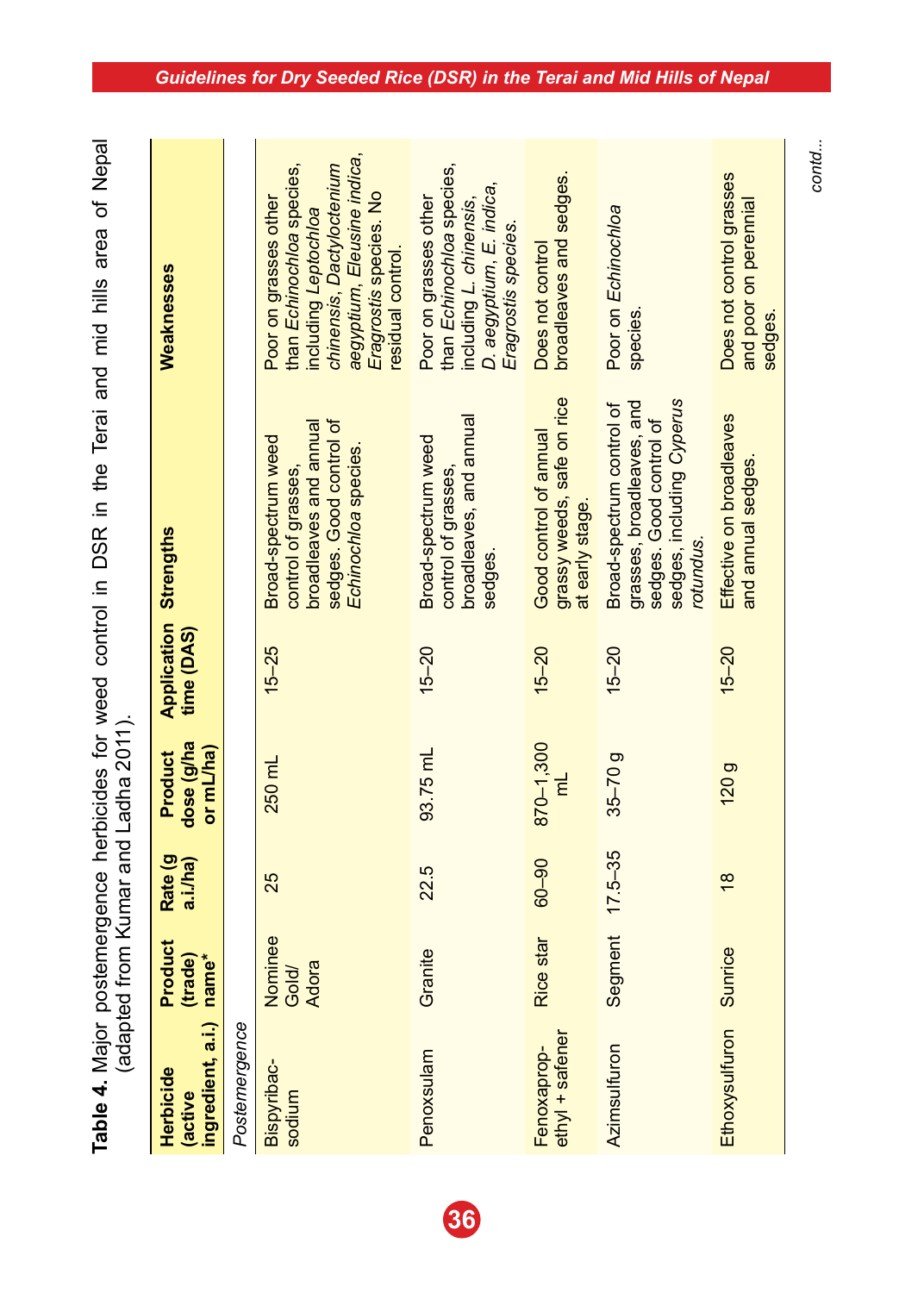| ment in DCR in the Terai and mid hills area of Neno- |                                 |
|------------------------------------------------------|---------------------------------|
|                                                      |                                 |
|                                                      |                                 |
|                                                      |                                 |
|                                                      |                                 |
|                                                      |                                 |
|                                                      |                                 |
|                                                      |                                 |
|                                                      |                                 |
|                                                      |                                 |
|                                                      |                                 |
|                                                      |                                 |
|                                                      |                                 |
|                                                      |                                 |
| י לא היה המה המה היה ל                               |                                 |
|                                                      |                                 |
| うろうろうろう                                              |                                 |
|                                                      |                                 |
|                                                      |                                 |
|                                                      | S<br>D<br>D<br>D<br>D<br>i<br>s |
| ī<br>l                                               |                                 |
|                                                      |                                 |
|                                                      |                                 |
|                                                      |                                 |
|                                                      |                                 |
|                                                      |                                 |
|                                                      |                                 |
|                                                      |                                 |
|                                                      |                                 |
| lable +. Iversity to have<br>$\frac{1}{2}$           |                                 |

| sedges. Good control of<br>sedges. Good control of<br>broadleaves and annual<br>Good control of annual<br>Broad-spectrum weed<br>Broad-spectrum weed<br>Echinochloa species.<br>and annual sedges<br>control of grasses,<br>control of grasses,<br>at early stage.<br>rotundus<br>sedges.<br>time (DAS)<br>$15 - 25$<br>$15 - 20$<br>$15 - 20$<br>$15 - 20$<br>$15 - 20$<br>dose (g/ha<br>870-1,300<br>93.75 mL<br>or mL/ha)<br>$35 - 70g$<br>250 mL<br>120g<br>ξ<br>Segment 17.5-35<br>$00 - 90$<br>a.i./ha)<br>22.5<br>25<br>$\frac{8}{2}$<br>Nominee<br>Rice star<br>Ethoxysulfuron Sunrice<br>Granite<br>(trade)<br>name*<br>Adora<br>Gold/<br>ingredient, a.i.)<br>Postemergence<br>$ethV$ + safener<br>Azimsulfuron<br>Penoxsulam<br>Fenoxaprop-<br>Bispyribac-<br>Herbicide<br>sodium<br>(active | <b>Condition is the condition of the condition of the condition of the condition of the condition of the condition</b> |         |         |             |                                                                                     |                                                                                                                                                                                      |
|---------------------------------------------------------------------------------------------------------------------------------------------------------------------------------------------------------------------------------------------------------------------------------------------------------------------------------------------------------------------------------------------------------------------------------------------------------------------------------------------------------------------------------------------------------------------------------------------------------------------------------------------------------------------------------------------------------------------------------------------------------------------------------------------------------|------------------------------------------------------------------------------------------------------------------------|---------|---------|-------------|-------------------------------------------------------------------------------------|--------------------------------------------------------------------------------------------------------------------------------------------------------------------------------------|
|                                                                                                                                                                                                                                                                                                                                                                                                                                                                                                                                                                                                                                                                                                                                                                                                         | Product                                                                                                                | Rate (g | Product | Application | <b>Strengths</b>                                                                    | Weaknesses                                                                                                                                                                           |
|                                                                                                                                                                                                                                                                                                                                                                                                                                                                                                                                                                                                                                                                                                                                                                                                         |                                                                                                                        |         |         |             |                                                                                     |                                                                                                                                                                                      |
|                                                                                                                                                                                                                                                                                                                                                                                                                                                                                                                                                                                                                                                                                                                                                                                                         |                                                                                                                        |         |         |             |                                                                                     | aegyptium, Eleusine indica,<br>than Echinochloa species,<br>chinensis, Dactyloctenium<br>Eragrostis species. No<br>Poor on grasses other<br>including Leptochloa<br>residual control |
|                                                                                                                                                                                                                                                                                                                                                                                                                                                                                                                                                                                                                                                                                                                                                                                                         |                                                                                                                        |         |         |             | broadleaves, and annual                                                             | than Echinochloa species,<br>D. aegyptium, E. indica,<br>Poor on grasses other<br>including L. chinensis,<br>Eragrostis species                                                      |
|                                                                                                                                                                                                                                                                                                                                                                                                                                                                                                                                                                                                                                                                                                                                                                                                         |                                                                                                                        |         |         |             | grassy weeds, safe on rice                                                          | broadleaves and sedges.<br>Does not control                                                                                                                                          |
|                                                                                                                                                                                                                                                                                                                                                                                                                                                                                                                                                                                                                                                                                                                                                                                                         |                                                                                                                        |         |         |             | sedges, including Cyperus<br>grasses, broadleaves, and<br>Broad-spectrum control of | Poor on Echinochloa<br>species                                                                                                                                                       |
|                                                                                                                                                                                                                                                                                                                                                                                                                                                                                                                                                                                                                                                                                                                                                                                                         |                                                                                                                        |         |         |             | Effective on broadleaves                                                            | Does not control grasses<br>and poor on perennial<br>sedges.                                                                                                                         |

#### *Guidelines for Dry Seeded Rice (DSR) in the Terai and Mid Hills of Nepal*

*contd...*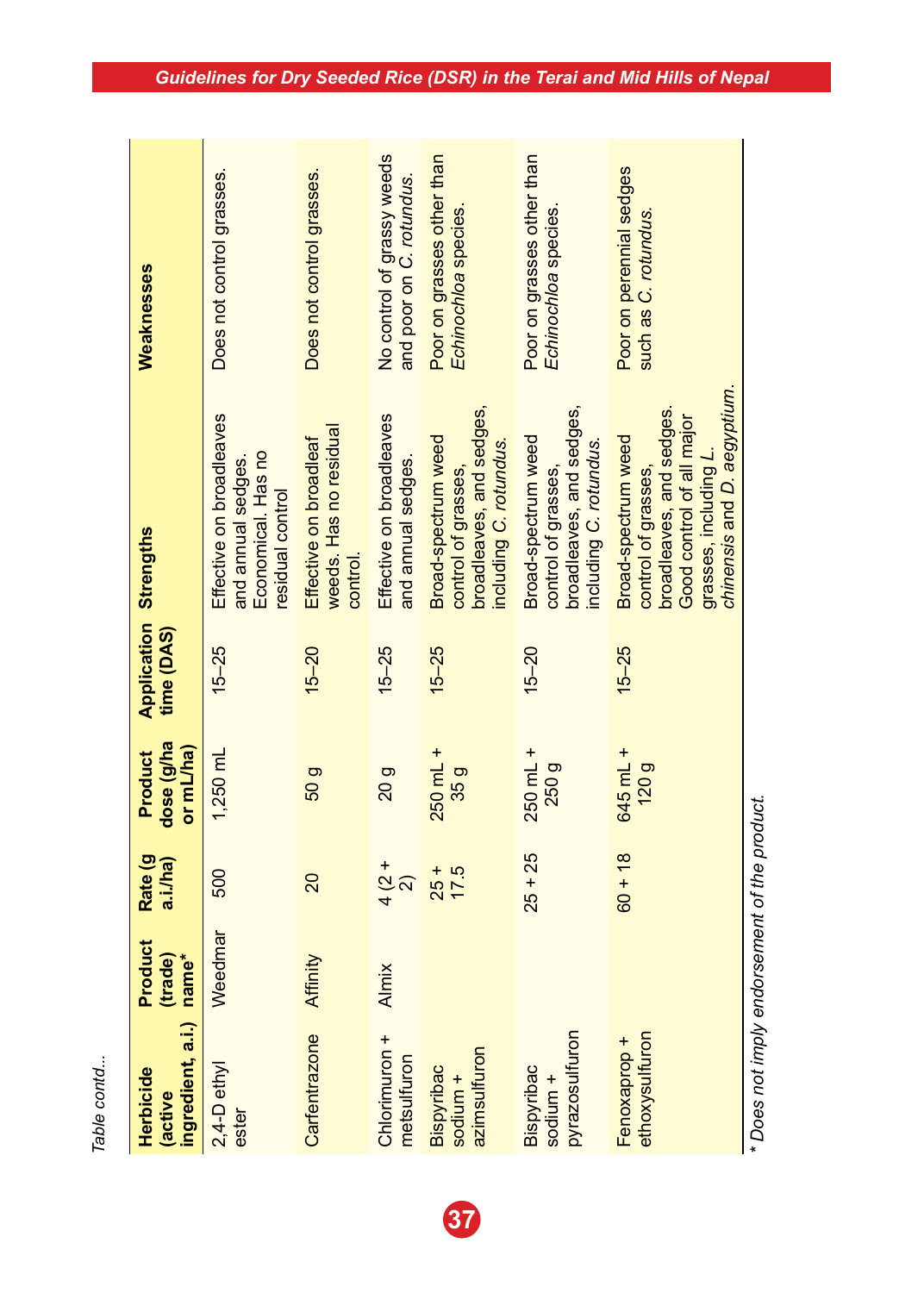| š      |
|--------|
|        |
| r,     |
|        |
|        |
| 5<br>b |
|        |

| ingredient, a.i.)<br>Herbicide<br>active | Product<br>(trade)<br>name* | Rate (g<br>a.i./ha) | dose (g/ha<br>or mL/ha)<br>Product | Application<br>time (DAS) | <b>Strengths</b>                                                                                                                                           | Weaknesses                                             |
|------------------------------------------|-----------------------------|---------------------|------------------------------------|---------------------------|------------------------------------------------------------------------------------------------------------------------------------------------------------|--------------------------------------------------------|
| 2,4-D ethyl<br>ester                     | Weedmar                     | 500                 | $1,250 \text{ mL}$                 | $15 - 25$                 | Effective on broadleaves<br>Economical. Has no<br>and annual sedges.<br>residual control                                                                   | Does not control grasses.                              |
| Carfentrazone                            | Affinity                    | 20                  | 50 <sub>g</sub>                    | $15 - 20$                 | weeds. Has no residual<br>Effective on broadleaf<br>control.                                                                                               | Does not control grasses.                              |
| Chlorimuron +<br>metsulfuron             | Almix                       | $4\frac{2}{2}$      | 20 <sub>g</sub>                    | $15 - 25$                 | Effective on broadleaves<br>and annual sedges.                                                                                                             | No control of grassy weeds<br>and poor on C. rotundus. |
| azimsulfuron<br>Bispyribac<br>sodium +   |                             | $25 +$<br>17.5      | $250$ mL +<br>35 <sub>g</sub>      | $15 - 25$                 | broadleaves, and sedges,<br>Broad-spectrum weed<br>including C. rotundus.<br>control of grasses,                                                           | Poor on grasses other than<br>Echinochloa species.     |
| pyrazosulfuron<br>Bispyribac<br>sodium + |                             | $25 + 25$           | $250$ mL +<br>250 g                | $15 - 20$                 | broadleaves, and sedges<br>Broad-spectrum weed<br>including C. rotundus.<br>control of grasses,                                                            | Poor on grasses other than<br>Echinochloa species.     |
| ethoxysulfuron<br>Fenoxaprop +           |                             | $60 + 18$           | 645 mL +<br>120g                   | $15 - 25$                 | chinensis and D. aegyptium.<br>broadleaves, and sedges<br>Good control of all major<br>Broad-spectrum weed<br>grasses, including L.<br>control of grasses, | Poor on perennial sedges<br>such as C. rotundus.       |
|                                          |                             |                     |                                    |                           |                                                                                                                                                            |                                                        |

\*Does not imply endorsement of the product. *\* Does not imply endorsement of the product.*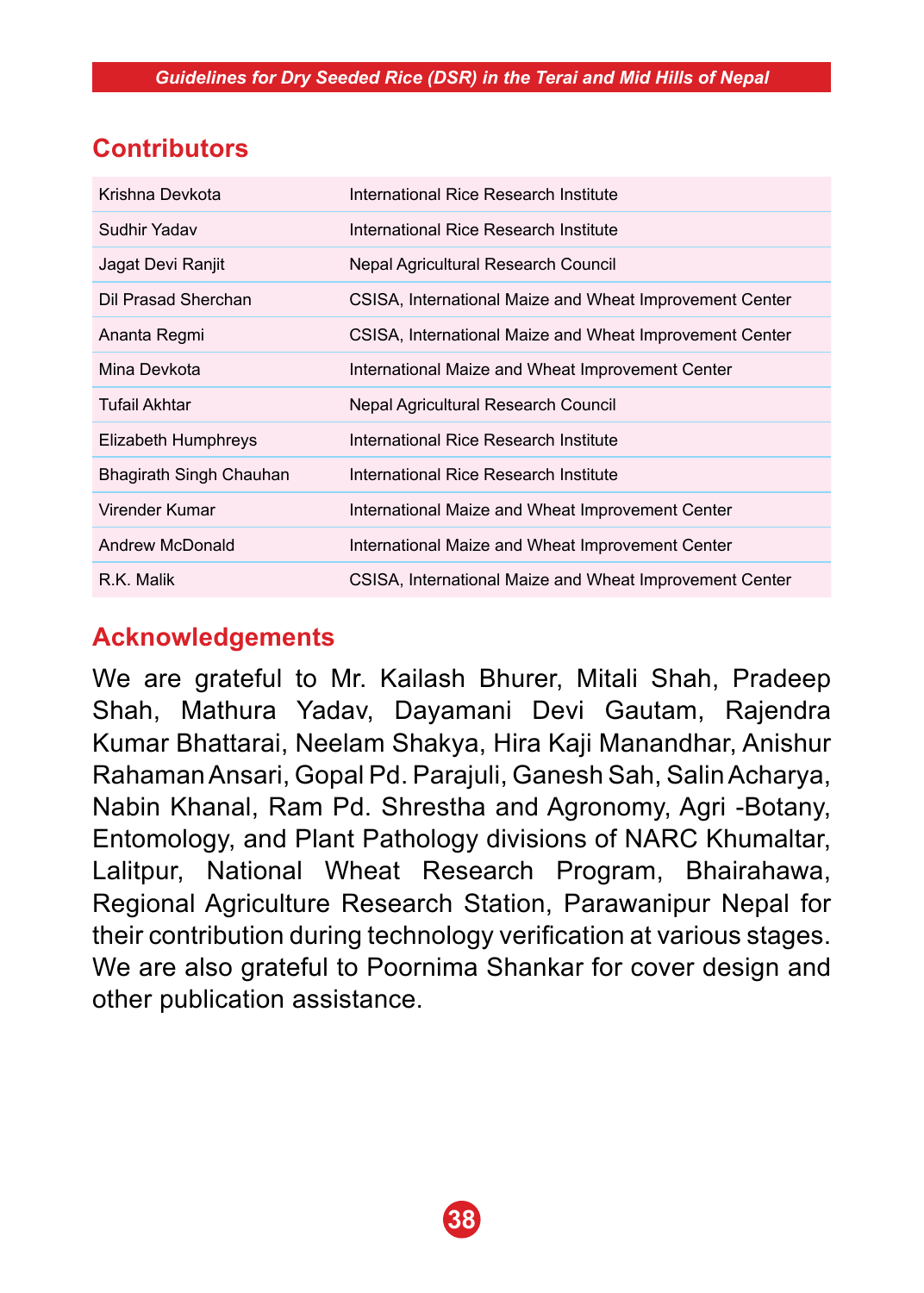# **Contributors**

| Krishna Devkota         | International Rice Research Institute                   |
|-------------------------|---------------------------------------------------------|
| Sudhir Yadav            | International Rice Research Institute                   |
| Jagat Devi Ranjit       | Nepal Agricultural Research Council                     |
| Dil Prasad Sherchan     | CSISA, International Maize and Wheat Improvement Center |
| Ananta Regmi            | CSISA, International Maize and Wheat Improvement Center |
| Mina Devkota            | International Maize and Wheat Improvement Center        |
| Tufail Akhtar           | Nepal Agricultural Research Council                     |
| Elizabeth Humphreys     | International Rice Research Institute                   |
| Bhagirath Singh Chauhan | International Rice Research Institute                   |
| Virender Kumar          | International Maize and Wheat Improvement Center        |
| Andrew McDonald         | International Maize and Wheat Improvement Center        |
| R.K. Malik              | CSISA, International Maize and Wheat Improvement Center |

# **Acknowledgements**

We are grateful to Mr. Kailash Bhurer, Mitali Shah, Pradeep Shah, Mathura Yadav, Dayamani Devi Gautam, Rajendra Kumar Bhattarai, Neelam Shakya, Hira Kaji Manandhar, Anishur Rahaman Ansari, Gopal Pd. Parajuli, Ganesh Sah, Salin Acharya, Nabin Khanal, Ram Pd. Shrestha and Agronomy, Agri -Botany, Entomology, and Plant Pathology divisions of NARC Khumaltar, Lalitpur, National Wheat Research Program, Bhairahawa, Regional Agriculture Research Station, Parawanipur Nepal for their contribution during technology verification at various stages. We are also grateful to Poornima Shankar for cover design and other publication assistance.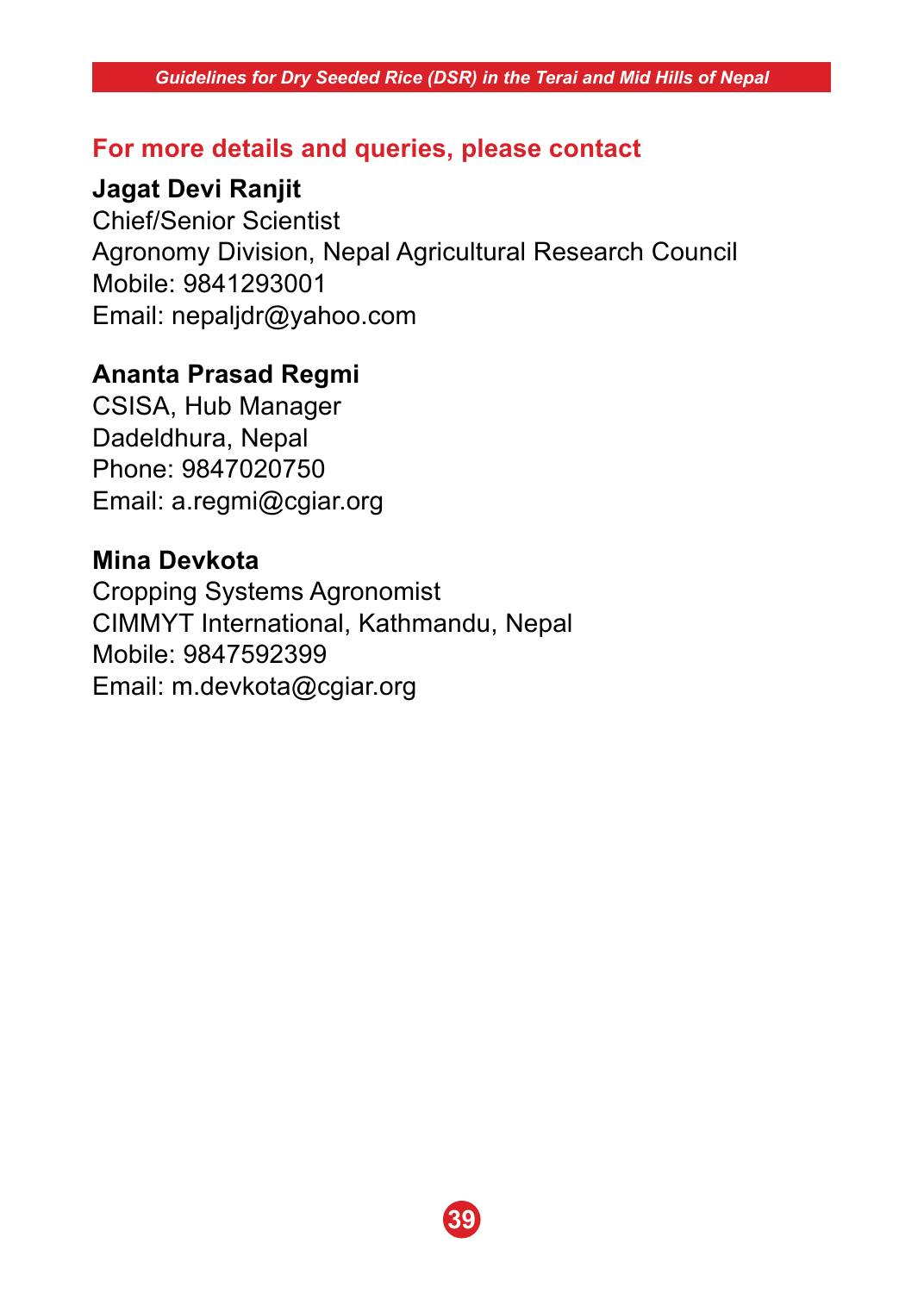### **For more details and queries, please contact**

### **Jagat Devi Ranjit**

Chief/Senior Scientist Agronomy Division, Nepal Agricultural Research Council Mobile: 9841293001 Email: nepaljdr@yahoo.com

### **Ananta Prasad Regmi**

CSISA, Hub Manager Dadeldhura, Nepal Phone: 9847020750 Email: a.regmi@cgiar.org

### **Mina Devkota**

Cropping Systems Agronomist CIMMYT International, Kathmandu, Nepal Mobile: 9847592399 Email: m.devkota@cgiar.org

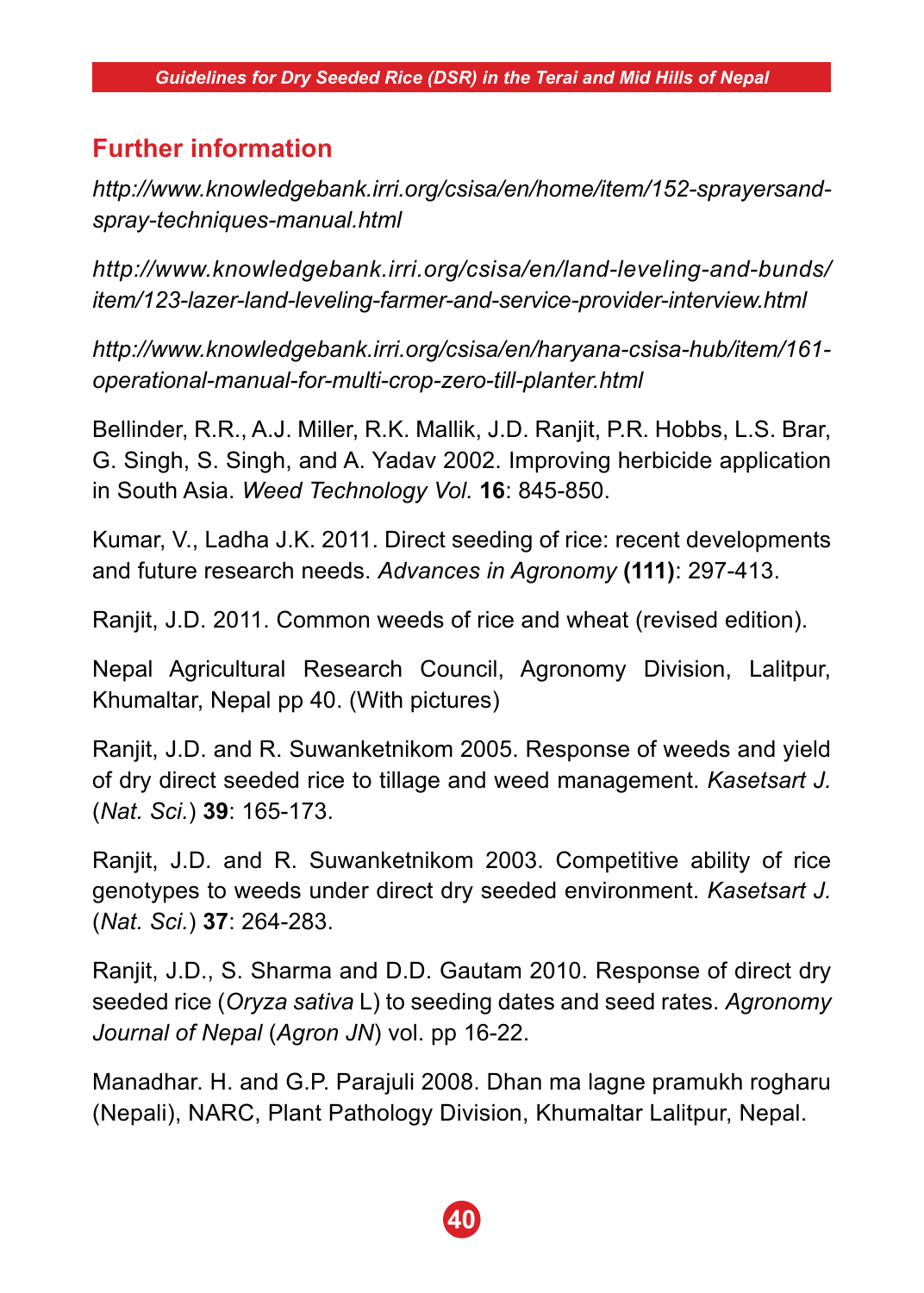# **Further information**

*http://www.knowledgebank.irri.org/csisa/en/home/item/152-sprayersandspray-techniques-manual.html*

*http://www.knowledgebank.irri.org/csisa/en/land-leveling-and-bunds/ item/123-lazer-land-leveling-farmer-and-service-provider-interview.html*

*http://www.knowledgebank.irri.org/csisa/en/haryana-csisa-hub/item/161 operational-manual-for-multi-crop-zero-till-planter.html*

Bellinder, R.R., A.J. Miller, R.K. Mallik, J.D. Ranjit, P.R. Hobbs, L.S. Brar, G. Singh, S. Singh, and A. Yadav 2002. Improving herbicide application in South Asia. *Weed Technology Vol.* **16**: 845-850.

Kumar, V., Ladha J.K. 2011. Direct seeding of rice: recent developments and future research needs. *Advances in Agronomy* **(111)**: 297-413.

Ranjit, J.D. 2011. Common weeds of rice and wheat (revised edition).

Nepal Agricultural Research Council, Agronomy Division, Lalitpur, Khumaltar, Nepal pp 40. (With pictures)

Ranjit, J.D. and R. Suwanketnikom 2005. Response of weeds and yield of dry direct seeded rice to tillage and weed management. *Kasetsart J.*  (*Nat. Sci.*) **39**: 165-173.

Ranjit, J.D. and R. Suwanketnikom 2003. Competitive ability of rice genotypes to weeds under direct dry seeded environment. *Kasetsart J.* (*Nat. Sci.*) **37**: 264-283.

Ranjit, J.D., S. Sharma and D.D. Gautam 2010. Response of direct dry seeded rice (*Oryza sativa* L) to seeding dates and seed rates. *Agronomy Journal of Nepal* (*Agron JN*) vol. pp 16-22.

Manadhar. H. and G.P. Parajuli 2008. Dhan ma lagne pramukh rogharu (Nepali), NARC, Plant Pathology Division, Khumaltar Lalitpur, Nepal.